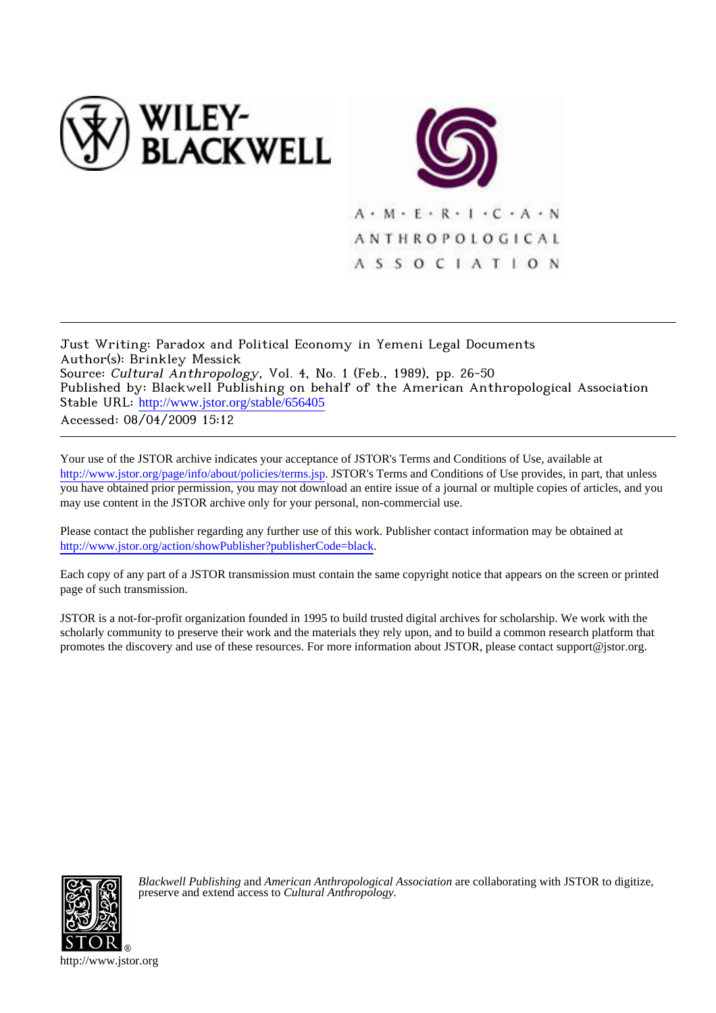



Just Writing: Paradox and Political Economy in Yemeni Legal Documents Author(s): Brinkley Messick Source: Cultural Anthropology, Vol. 4, No. 1 (Feb., 1989), pp. 26-50 Published by: Blackwell Publishing on behalf of the American Anthropological Association Stable URL: [http://www.jstor.org/stable/656405](http://www.jstor.org/stable/656405?origin=JSTOR-pdf) Accessed: 08/04/2009 15:12

Your use of the JSTOR archive indicates your acceptance of JSTOR's Terms and Conditions of Use, available at <http://www.jstor.org/page/info/about/policies/terms.jsp>. JSTOR's Terms and Conditions of Use provides, in part, that unless you have obtained prior permission, you may not download an entire issue of a journal or multiple copies of articles, and you may use content in the JSTOR archive only for your personal, non-commercial use.

Please contact the publisher regarding any further use of this work. Publisher contact information may be obtained at [http://www.jstor.org/action/showPublisher?publisherCode=black.](http://www.jstor.org/action/showPublisher?publisherCode=black)

Each copy of any part of a JSTOR transmission must contain the same copyright notice that appears on the screen or printed page of such transmission.

JSTOR is a not-for-profit organization founded in 1995 to build trusted digital archives for scholarship. We work with the scholarly community to preserve their work and the materials they rely upon, and to build a common research platform that promotes the discovery and use of these resources. For more information about JSTOR, please contact support@jstor.org.



*Blackwell Publishing* and *American Anthropological Association* are collaborating with JSTOR to digitize, preserve and extend access to *Cultural Anthropology.*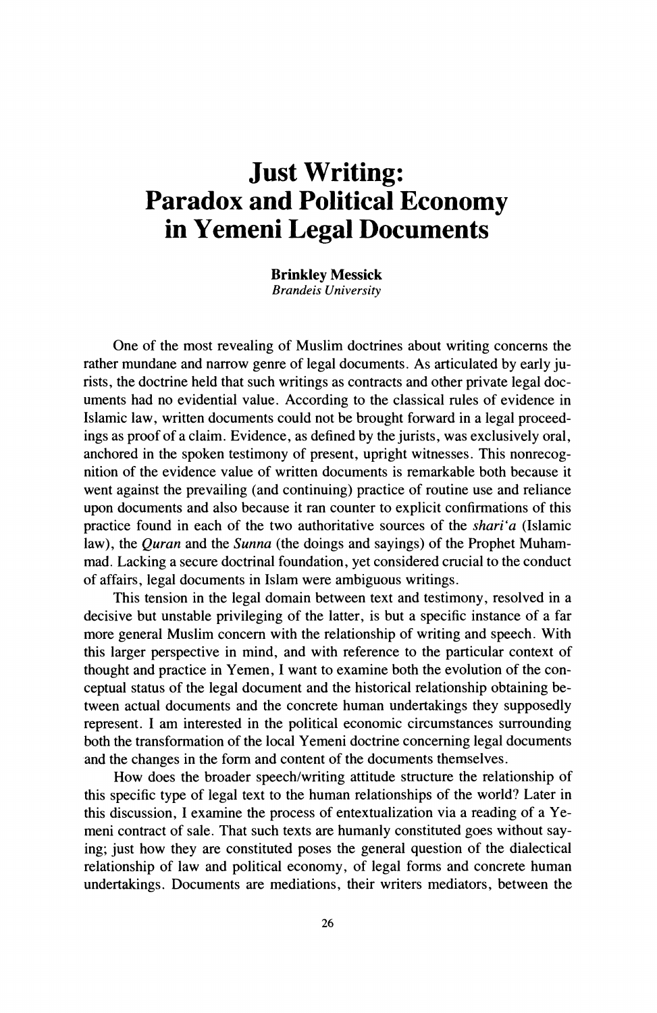# **Just Writing: Paradox and Political Economy in Yemeni Legal Documents**

**Brinkley Messick Brandeis University** 

**One of the most revealing of Muslim doctrines about writing concerns the rather mundane and narrow genre of legal documents. As articulated by early jurists, the doctrine held that such writings as contracts and other private legal documents had no evidential value. According to the classical rules of evidence in Islamic law, written documents could not be brought forward in a legal proceedings as proof of a claim. Evidence, as defined by the jurists, was exclusively oral, anchored in the spoken testimony of present, upright witnesses. This nonrecognition of the evidence value of written documents is remarkable both because it went against the prevailing (and continuing) practice of routine use and reliance upon documents and also because it ran counter to explicit confirmations of this practice found in each of the two authoritative sources of the shari'a (Islamic law), the Quran and the Sunna (the doings and sayings) of the Prophet Muhammad. Lacking a secure doctrinal foundation, yet considered crucial to the conduct of affairs, legal documents in Islam were ambiguous writings.** 

**This tension in the legal domain between text and testimony, resolved in a decisive but unstable privileging of the latter, is but a specific instance of a far more general Muslim concern with the relationship of writing and speech. With this larger perspective in mind, and with reference to the particular context of thought and practice in Yemen, I want to examine both the evolution of the conceptual status of the legal document and the historical relationship obtaining between actual documents and the concrete human undertakings they supposedly represent. I am interested in the political economic circumstances surrounding both the transformation of the local Yemeni doctrine concerning legal documents and the changes in the form and content of the documents themselves.** 

**How does the broader speech/writing attitude structure the relationship of this specific type of legal text to the human relationships of the world? Later in this discussion, I examine the process of entextualization via a reading of a Yemeni contract of sale. That such texts are humanly constituted goes without saying; just how they are constituted poses the general question of the dialectical relationship of law and political economy, of legal forms and concrete human undertakings. Documents are mediations, their writers mediators, between the**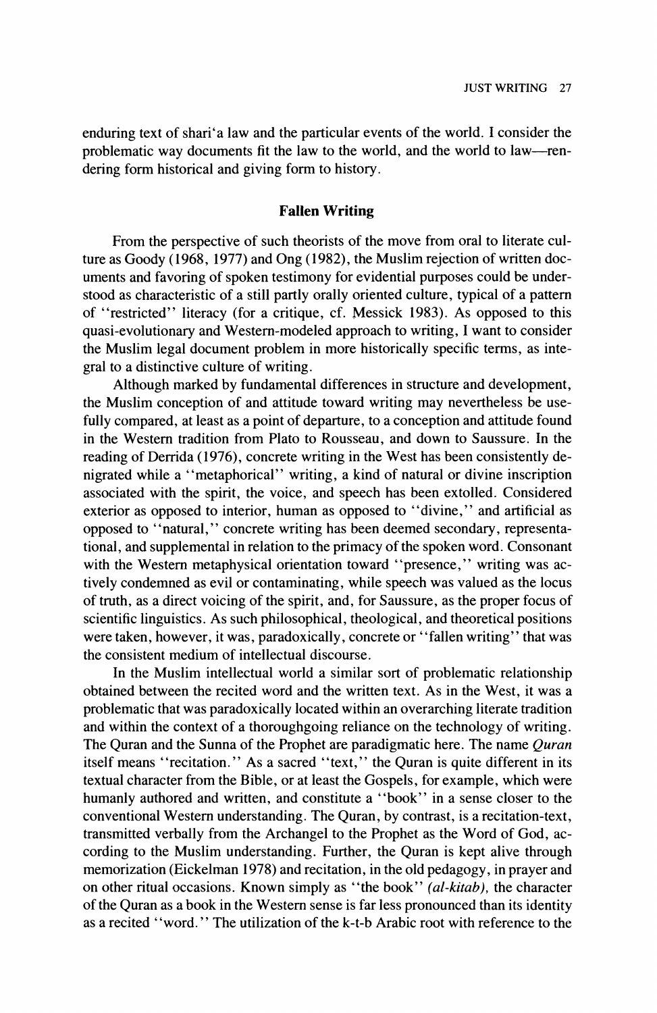**enduring text of shari'a law and the particular events of the world. I consider the problematic way documents fit the law to the world, and the world to law-rendering form historical and giving form to history.** 

#### **Fallen Writing**

**From the perspective of such theorists of the move from oral to literate culture as Goody (1968, 1977) and Ong (1982), the Muslim rejection of written documents and favoring of spoken testimony for evidential purposes could be understood as characteristic of a still partly orally oriented culture, typical of a pattern of "restricted" literacy (for a critique, cf. Messick 1983). As opposed to this quasi-evolutionary and Western-modeled approach to writing, I want to consider the Muslim legal document problem in more historically specific terms, as integral to a distinctive culture of writing.** 

**Although marked by fundamental differences in structure and development, the Muslim conception of and attitude toward writing may nevertheless be usefully compared, at least as a point of departure, to a conception and attitude found in the Western tradition from Plato to Rousseau, and down to Saussure. In the reading of Derrida (1976), concrete writing in the West has been consistently denigrated while a "metaphorical" writing, a kind of natural or divine inscription associated with the spirit, the voice, and speech has been extolled. Considered exterior as opposed to interior, human as opposed to "divine," and artificial as opposed to "natural," concrete writing has been deemed secondary, representational, and supplemental in relation to the primacy of the spoken word. Consonant**  with the Western metaphysical orientation toward "presence," writing was ac**tively condemned as evil or contaminating, while speech was valued as the locus of truth, as a direct voicing of the spirit, and, for Saussure, as the proper focus of scientific linguistics. As such philosophical, theological, and theoretical positions were taken, however, it was, paradoxically, concrete or "fallen writing" that was the consistent medium of intellectual discourse.** 

**In the Muslim intellectual world a similar sort of problematic relationship obtained between the recited word and the written text. As in the West, it was a problematic that was paradoxically located within an overarching literate tradition and within the context of a thoroughgoing reliance on the technology of writing. The Quran and the Sunna of the Prophet are paradigmatic here. The name Quran itself means "recitation." As a sacred "text," the Quran is quite different in its textual character from the Bible, or at least the Gospels, for example, which were humanly authored and written, and constitute a "book" in a sense closer to the conventional Western understanding. The Quran, by contrast, is a recitation-text, transmitted verbally from the Archangel to the Prophet as the Word of God, according to the Muslim understanding. Further, the Quran is kept alive through memorization (Eickelman 1978) and recitation, in the old pedagogy, in prayer and on other ritual occasions. Known simply as "the book" (al-kitab), the character of the Quran as a book in the Western sense is far less pronounced than its identity as a recited "word." The utilization of the k-t-b Arabic root with reference to the**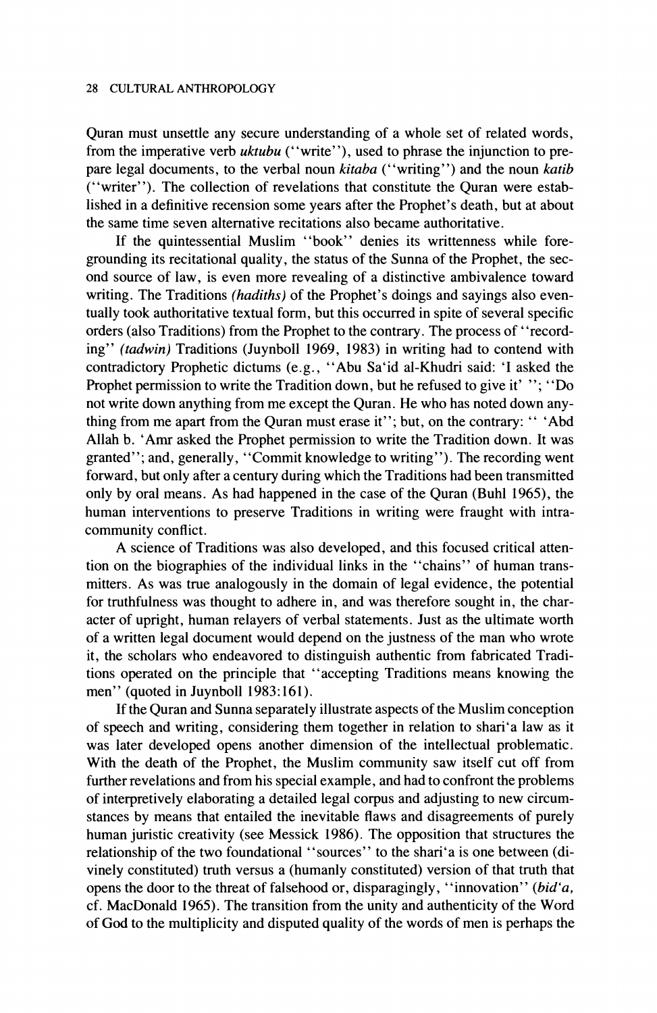**Quran must unsettle any secure understanding of a whole set of related words, from the imperative verb uktubu ("write"), used to phrase the injunction to prepare legal documents, to the verbal noun kitaba ("writing") and the noun katib ("writer"). The collection of revelations that constitute the Quran were established in a definitive recension some years after the Prophet's death, but at about the same time seven alternative recitations also became authoritative.** 

**If the quintessential Muslim "book" denies its writtenness while foregrounding its recitational quality, the status of the Sunna of the Prophet, the second source of law, is even more revealing of a distinctive ambivalence toward writing. The Traditions (hadiths) of the Prophet's doings and sayings also eventually took authoritative textual form, but this occurred in spite of several specific orders (also Traditions) from the Prophet to the contrary. The process of "recording" (tadwin) Traditions (Juynboll 1969, 1983) in writing had to contend with contradictory Prophetic dictums (e.g., "Abu Sa'id al-Khudri said: 'I asked the**  Prophet permission to write the Tradition down, but he refused to give it' "; "Do **not write down anything from me except the Quran. He who has noted down anything from me apart from the Quran must erase it"; but, on the contrary: " 'Abd Allah b. 'Amr asked the Prophet permission to write the Tradition down. It was granted"; and, generally, "Commit knowledge to writing"). The recording went forward, but only after a century during which the Traditions had been transmitted only by oral means. As had happened in the case of the Quran (Buhl 1965), the human interventions to preserve Traditions in writing were fraught with intracommunity conflict.** 

**A science of Traditions was also developed, and this focused critical attention on the biographies of the individual links in the "chains" of human transmitters. As was true analogously in the domain of legal evidence, the potential for truthfulness was thought to adhere in, and was therefore sought in, the character of upright, human relayers of verbal statements. Just as the ultimate worth of a written legal document would depend on the justness of the man who wrote it, the scholars who endeavored to distinguish authentic from fabricated Traditions operated on the principle that "accepting Traditions means knowing the men" (quoted in Juynboll 1983:161).** 

**If the Quran and Sunna separately illustrate aspects of the Muslim conception of speech and writing, considering them together in relation to shari'a law as it was later developed opens another dimension of the intellectual problematic. With the death of the Prophet, the Muslim community saw itself cut off from further revelations and from his special example, and had to confront the problems of interpretively elaborating a detailed legal corpus and adjusting to new circumstances by means that entailed the inevitable flaws and disagreements of purely human juristic creativity (see Messick 1986). The opposition that structures the relationship of the two foundational "sources" to the shari'a is one between (divinely constituted) truth versus a (humanly constituted) version of that truth that opens the door to the threat of falsehood or, disparagingly, "innovation" (bid'a, cf. MacDonald 1965). The transition from the unity and authenticity of the Word of God to the multiplicity and disputed quality of the words of men is perhaps the**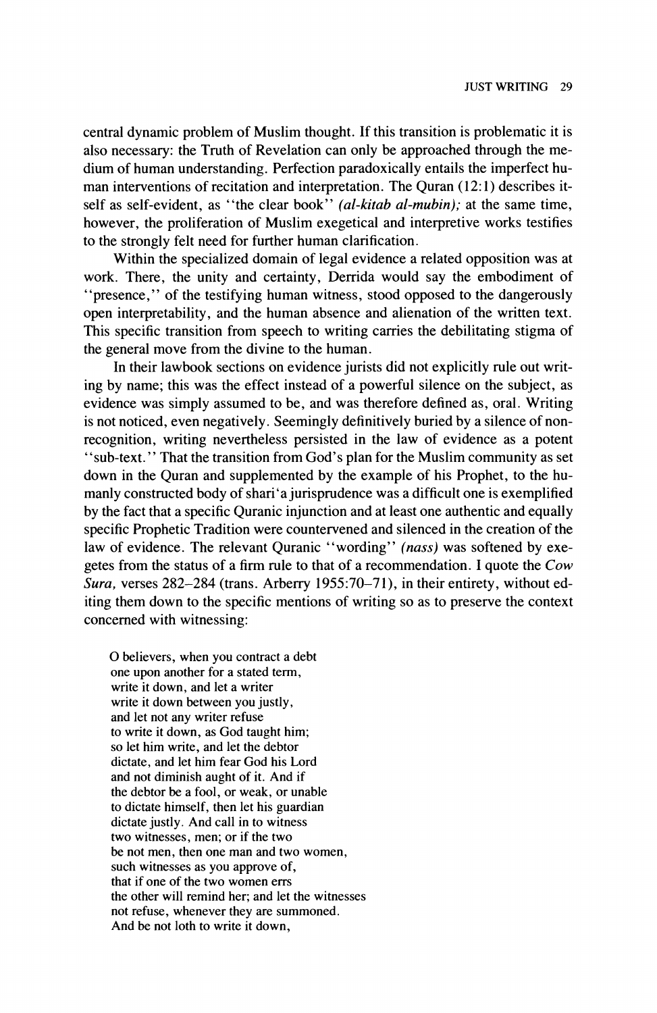**central dynamic problem of Muslim thought. If this transition is problematic it is also necessary: the Truth of Revelation can only be approached through the medium of human understanding. Perfection paradoxically entails the imperfect human interventions of recitation and interpretation. The Quran (12:1) describes itself as self-evident, as "the clear book" (al-kitab al-mubin); at the same time, however, the proliferation of Muslim exegetical and interpretive works testifies to the strongly felt need for further human clarification.** 

**Within the specialized domain of legal evidence a related opposition was at work. There, the unity and certainty, Derrida would say the embodiment of "presence," of the testifying human witness, stood opposed to the dangerously open interpretability, and the human absence and alienation of the written text. This specific transition from speech to writing carries the debilitating stigma of the general move from the divine to the human.** 

**In their lawbook sections on evidence jurists did not explicitly rule out writing by name; this was the effect instead of a powerful silence on the subject, as evidence was simply assumed to be, and was therefore defined as, oral. Writing is not noticed, even negatively. Seemingly definitively buried by a silence of nonrecognition, writing nevertheless persisted in the law of evidence as a potent "sub-text." That the transition from God's plan for the Muslim community as set down in the Quran and supplemented by the example of his Prophet, to the humanly constructed body of shari'a jurisprudence was a difficult one is exemplified by the fact that a specific Quranic injunction and at least one authentic and equally specific Prophetic Tradition were countervened and silenced in the creation of the**  law of evidence. The relevant Quranic "wording" (nass) was softened by exe**getes from the status of a firm rule to that of a recommendation. I quote the Cow**  Sura, verses 282–284 (trans. Arberry 1955:70–71), in their entirety, without ed**iting them down to the specific mentions of writing so as to preserve the context concerned with witnessing:** 

**O believers, when you contract a debt one upon another for a stated term, write it down, and let a writer write it down between you justly, and let not any writer refuse to write it down, as God taught him; so let him write, and let the debtor dictate, and let him fear God his Lord and not diminish aught of it. And if the debtor be a fool, or weak, or unable to dictate himself, then let his guardian dictate justly. And call in to witness two witnesses, men; or if the two be not men, then one man and two women, such witnesses as you approve of, that if one of the two women errs the other will remind her; and let the witnesses not refuse, whenever they are summoned. And be not loth to write it down,**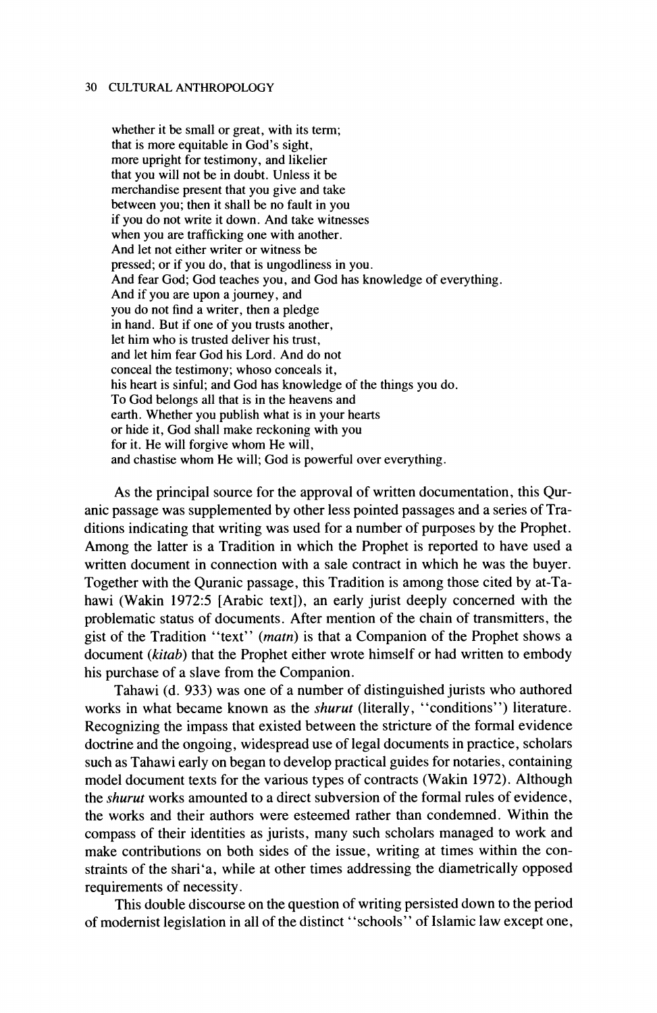**whether it be small or great, with its term; that is more equitable in God's sight, more upright for testimony, and likelier that you will not be in doubt. Unless it be merchandise present that you give and take between you; then it shall be no fault in you if you do not write it down. And take witnesses when you are trafficking one with another. And let not either writer or witness be pressed; or if you do, that is ungodliness in you. And fear God; God teaches you, and God has knowledge of everything. And if you are upon a journey, and you do not find a writer, then a pledge in hand. But if one of you trusts another, let him who is trusted deliver his trust, and let him fear God his Lord. And do not conceal the testimony; whoso conceals it, his heart is sinful; and God has knowledge of the things you do. To God belongs all that is in the heavens and earth. Whether you publish what is in your hearts or hide it, God shall make reckoning with you for it. He will forgive whom He will, and chastise whom He will; God is powerful over everything.** 

**As the principal source for the approval of written documentation, this Quranic passage was supplemented by other less pointed passages and a series of Traditions indicating that writing was used for a number of purposes by the Prophet. Among the latter is a Tradition in which the Prophet is reported to have used a written document in connection with a sale contract in which he was the buyer. Together with the Quranic passage, this Tradition is among those cited by at-Tahawi (Wakin 1972:5 [Arabic text]), an early jurist deeply concerned with the problematic status of documents. After mention of the chain of transmitters, the gist of the Tradition "text" (matn) is that a Companion of the Prophet shows a document (kitab) that the Prophet either wrote himself or had written to embody his purchase of a slave from the Companion.** 

**Tahawi (d. 933) was one of a number of distinguished jurists who authored works in what became known as the shurut (literally, "conditions") literature. Recognizing the impass that existed between the stricture of the formal evidence doctrine and the ongoing, widespread use of legal documents in practice, scholars such as Tahawi early on began to develop practical guides for notaries, containing model document texts for the various types of contracts (Wakin 1972). Although the shurut works amounted to a direct subversion of the formal rules of evidence, the works and their authors were esteemed rather than condemned. Within the compass of their identities as jurists, many such scholars managed to work and make contributions on both sides of the issue, writing at times within the constraints of the shari'a, while at other times addressing the diametrically opposed requirements of necessity.** 

**This double discourse on the question of writing persisted down to the period of modernist legislation in all of the distinct "schools" of Islamic law except one,**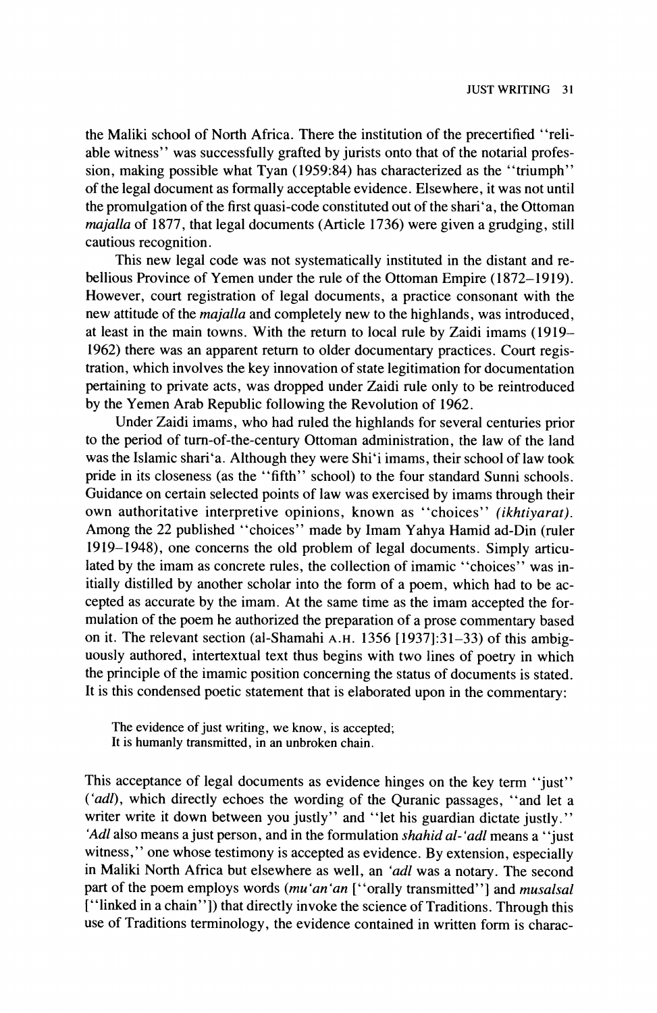**the Maliki school of North Africa. There the institution of the precertified "reliable witness" was successfully grafted by jurists onto that of the notarial profession, making possible what Tyan (1959:84) has characterized as the "triumph" of the legal document as formally acceptable evidence. Elsewhere, it was not until the promulgation of the first quasi-code constituted out of the shari'a, the Ottoman majalla of 1877, that legal documents (Article 1736) were given a grudging, still cautious recognition.** 

**This new legal code was not systematically instituted in the distant and rebellious Province of Yemen under the rule of the Ottoman Empire (1872-1919). However, court registration of legal documents, a practice consonant with the new attitude of the majalla and completely new to the highlands, was introduced, at least in the main towns. With the return to local rule by Zaidi imams (1919- 1962) there was an apparent return to older documentary practices. Court registration, which involves the key innovation of state legitimation for documentation pertaining to private acts, was dropped under Zaidi rule only to be reintroduced by the Yemen Arab Republic following the Revolution of 1962.** 

**Under Zaidi imams, who had ruled the highlands for several centuries prior to the period of turn-of-the-century Ottoman administration, the law of the land was the Islamic shari'a. Although they were Shi'i imams, their school of law took pride in its closeness (as the "fifth" school) to the four standard Sunni schools. Guidance on certain selected points of law was exercised by imams through their own authoritative interpretive opinions, known as "choices" (ikhtiyarat). Among the 22 published "choices" made by Imam Yahya Hamid ad-Din (ruler 1919-1948), one concerns the old problem of legal documents. Simply articulated by the imam as concrete rules, the collection of imamic "choices" was initially distilled by another scholar into the form of a poem, which had to be accepted as accurate by the imam. At the same time as the imam accepted the formulation of the poem he authorized the preparation of a prose commentary based on it. The relevant section (al-Shamahi A.H. 1356 [1937]:31-33) of this ambiguously authored, intertextual text thus begins with two lines of poetry in which the principle of the imamic position concerning the status of documents is stated. It is this condensed poetic statement that is elaborated upon in the commentary:** 

**The evidence of just writing, we know, is accepted; It is humanly transmitted, in an unbroken chain.** 

**This acceptance of legal documents as evidence hinges on the key term "just" ('adl), which directly echoes the wording of the Quranic passages, "and let a**  writer write it down between you justly" and "let his guardian dictate justly." **'Adl also means a just person, and in the formulation shahid al-'adl means a "just witness," one whose testimony is accepted as evidence. By extension, especially in Maliki North Africa but elsewhere as well, an 'adl was a notary. The second**  part of the poem employs words (mu'an'an ["orally transmitted"] and musalsal **["linked in a chain"]) that directly invoke the science of Traditions. Through this use of Traditions terminology, the evidence contained in written form is charac-**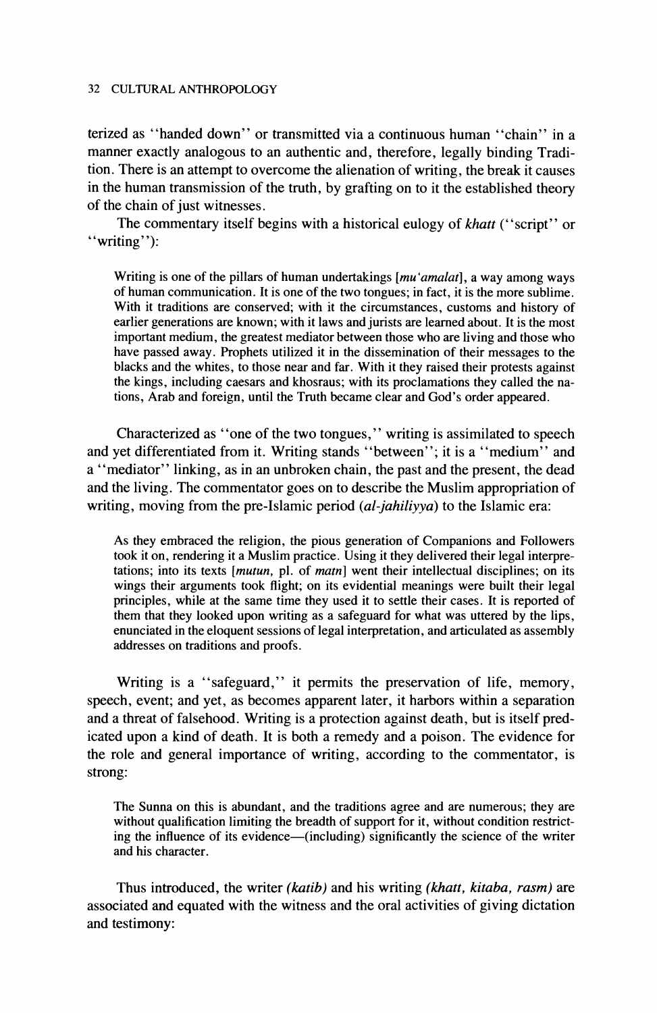**terized as "handed down" or transmitted via a continuous human "chain" in a manner exactly analogous to an authentic and, therefore, legally binding Tradition. There is an attempt to overcome the alienation of writing, the break it causes in the human transmission of the truth, by grafting on to it the established theory of the chain of just witnesses.** 

**The commentary itself begins with a historical eulogy of khatt ("script" or**  "writing"):

**Writing is one of the pillars of human undertakings [mu'amalat], a way among ways of human communication. It is one of the two tongues; in fact, it is the more sublime. With it traditions are conserved; with it the circumstances, customs and history of earlier generations are known; with it laws and jurists are learned about. It is the most important medium, the greatest mediator between those who are living and those who have passed away. Prophets utilized it in the dissemination of their messages to the blacks and the whites, to those near and far. With it they raised their protests against the kings, including caesars and khosraus; with its proclamations they called the nations, Arab and foreign, until the Truth became clear and God's order appeared.** 

**Characterized as "one of the two tongues," writing is assimilated to speech and yet differentiated from it. Writing stands "between"; it is a "medium" and a "mediator" linking, as in an unbroken chain, the past and the present, the dead and the living. The commentator goes on to describe the Muslim appropriation of writing, moving from the pre-Islamic period (al-jahiliyya) to the Islamic era:** 

**As they embraced the religion, the pious generation of Companions and Followers took it on, rendering it a Muslim practice. Using it they delivered their legal interpretations; into its texts [mutun, pl. of matn] went their intellectual disciplines; on its wings their arguments took flight; on its evidential meanings were built their legal principles, while at the same time they used it to settle their cases. It is reported of them that they looked upon writing as a safeguard for what was uttered by the lips, enunciated in the eloquent sessions of legal interpretation, and articulated as assembly addresses on traditions and proofs.** 

**Writing is a "safeguard," it permits the preservation of life, memory, speech, event; and yet, as becomes apparent later, it harbors within a separation and a threat of falsehood. Writing is a protection against death, but is itself predicated upon a kind of death. It is both a remedy and a poison. The evidence for the role and general importance of writing, according to the commentator, is strong:** 

**The Sunna on this is abundant, and the traditions agree and are numerous; they are without qualification limiting the breadth of support for it, without condition restrict**ing the influence of its evidence—(including) significantly the science of the writer **and his character.** 

**Thus introduced, the writer (katib) and his writing (khatt, kitaba, rasm) are associated and equated with the witness and the oral activities of giving dictation and testimony:**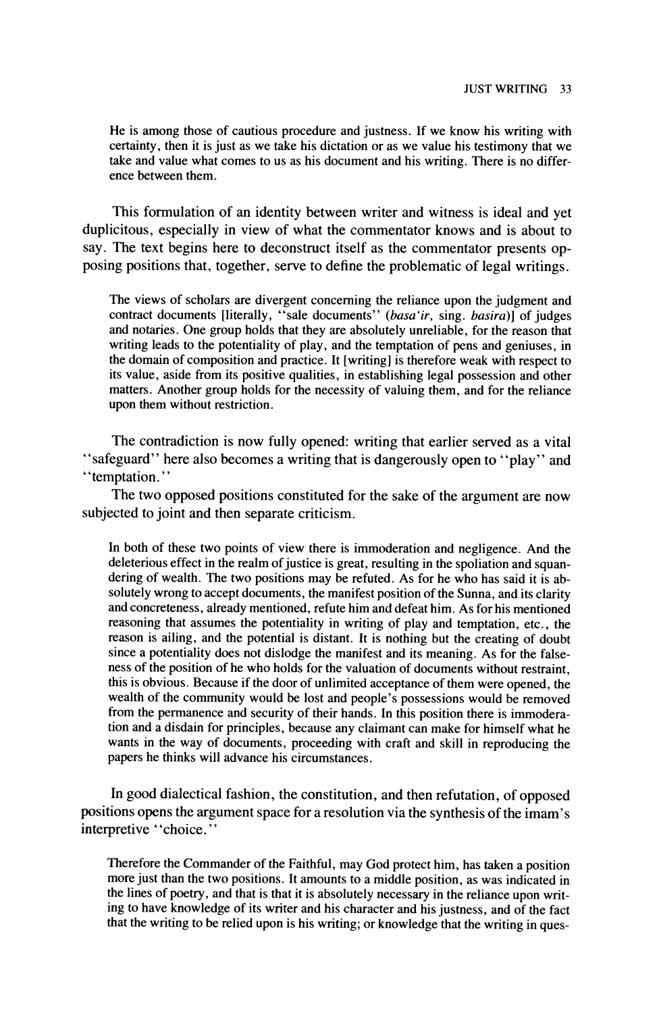**He is among those of cautious procedure and justness. If we know his writing with certainty, then it is just as we take his dictation or as we value his testimony that we take and value what comes to us as his document and his writing. There is no difference between them.** 

**This formulation of an identity between writer and witness is ideal and yet duplicitous, especially in view of what the commentator knows and is about to say. The text begins here to deconstruct itself as the commentator presents opposing positions that, together, serve to define the problematic of legal writings.** 

**The views of scholars are divergent concerning the reliance upon the judgment and contract documents [literally, "sale documents" (basa'ir, sing. basira)] of judges and notaries. One group holds that they are absolutely unreliable, for the reason that writing leads to the potentiality of play, and the temptation of pens and geniuses, in the domain of composition and practice. It [writing] is therefore weak with respect to its value, aside from its positive qualities, in establishing legal possession and other matters. Another group holds for the necessity of valuing them, and for the reliance upon them without restriction.** 

**The contradiction is now fully opened: writing that earlier served as a vital "safeguard" here also becomes a writing that is dangerously open to "play" and "temptation."** 

**The two opposed positions constituted for the sake of the argument are now subjected to joint and then separate criticism.** 

**In both of these two points of view there is immoderation and negligence. And the deleterious effect in the realm of justice is great, resulting in the spoliation and squandering of wealth. The two positions may be refuted. As for he who has said it is absolutely wrong to accept documents, the manifest position of the Sunna, and its clarity and concreteness, already mentioned, refute him and defeat him. As for his mentioned reasoning that assumes the potentiality in writing of play and temptation, etc., the reason is ailing, and the potential is distant. It is nothing but the creating of doubt since a potentiality does not dislodge the manifest and its meaning. As for the falseness of the position of he who holds for the valuation of documents without restraint, this is obvious. Because if the door of unlimited acceptance of them were opened, the wealth of the community would be lost and people's possessions would be removed from the permanence and security of their hands. In this position there is immoderation and a disdain for principles, because any claimant can make for himself what he wants in the way of documents, proceeding with craft and skill in reproducing the papers he thinks will advance his circumstances.** 

**In good dialectical fashion, the constitution, and then refutation, of opposed positions opens the argument space for a resolution via the synthesis of the imam's interpretive "choice."** 

**Therefore the Commander of the Faithful, may God protect him, has taken a position more just than the two positions. It amounts to a middle position, as was indicated in the lines of poetry, and that is that it is absolutely necessary in the reliance upon writing to have knowledge of its writer and his character and his justness, and of the fact that the writing to be relied upon is his writing; or knowledge that the writing in ques-**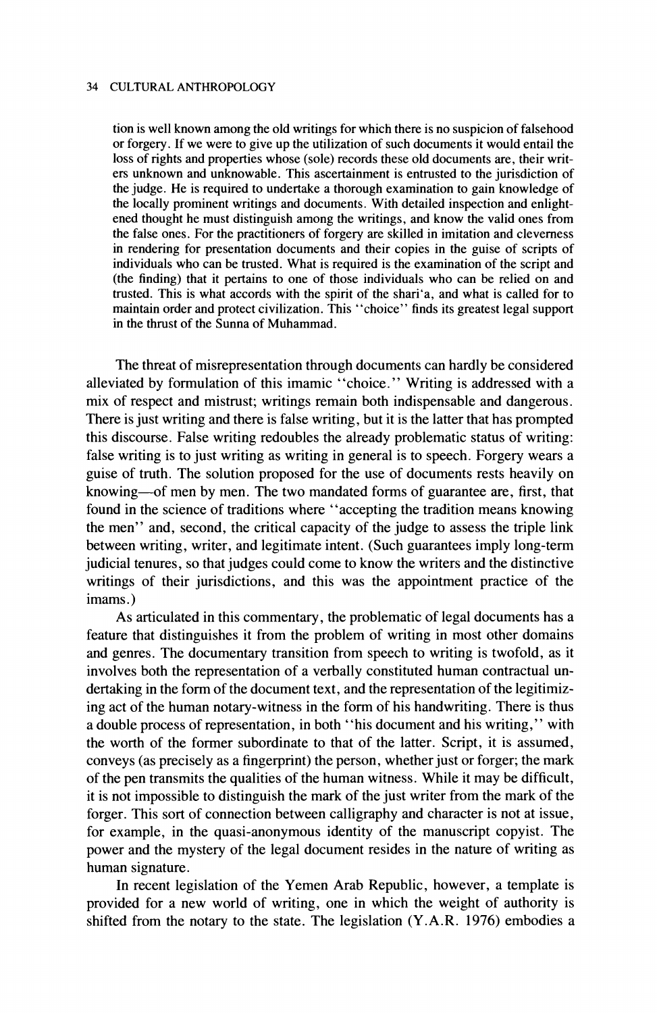**tion is well known among the old writings for which there is no suspicion of falsehood or forgery. If we were to give up the utilization of such documents it would entail the loss of rights and properties whose (sole) records these old documents are, their writers unknown and unknowable. This ascertainment is entrusted to the jurisdiction of the judge. He is required to undertake a thorough examination to gain knowledge of the locally prominent writings and documents. With detailed inspection and enlightened thought he must distinguish among the writings, and know the valid ones from the false ones. For the practitioners of forgery are skilled in imitation and cleverness in rendering for presentation documents and their copies in the guise of scripts of individuals who can be trusted. What is required is the examination of the script and (the finding) that it pertains to one of those individuals who can be relied on and trusted. This is what accords with the spirit of the shari'a, and what is called for to maintain order and protect civilization. This "choice" finds its greatest legal support in the thrust of the Sunna of Muhammad.** 

**The threat of misrepresentation through documents can hardly be considered alleviated by formulation of this imamic "choice." Writing is addressed with a mix of respect and mistrust; writings remain both indispensable and dangerous. There is just writing and there is false writing, but it is the latter that has prompted this discourse. False writing redoubles the already problematic status of writing: false writing is to just writing as writing in general is to speech. Forgery wears a guise of truth. The solution proposed for the use of documents rests heavily on knowing-of men by men. The two mandated forms of guarantee are, first, that found in the science of traditions where "accepting the tradition means knowing the men" and, second, the critical capacity of the judge to assess the triple link between writing, writer, and legitimate intent. (Such guarantees imply long-term judicial tenures, so that judges could come to know the writers and the distinctive writings of their jurisdictions, and this was the appointment practice of the imams.)** 

**As articulated in this commentary, the problematic of legal documents has a feature that distinguishes it from the problem of writing in most other domains and genres. The documentary transition from speech to writing is twofold, as it involves both the representation of a verbally constituted human contractual undertaking in the form of the document text, and the representation of the legitimizing act of the human notary-witness in the form of his handwriting. There is thus a double process of representation, in both "his document and his writing," with the worth of the former subordinate to that of the latter. Script, it is assumed, conveys (as precisely as a fingerprint) the person, whether just or forger; the mark of the pen transmits the qualities of the human witness. While it may be difficult, it is not impossible to distinguish the mark of the just writer from the mark of the forger. This sort of connection between calligraphy and character is not at issue, for example, in the quasi-anonymous identity of the manuscript copyist. The power and the mystery of the legal document resides in the nature of writing as human signature.** 

**In recent legislation of the Yemen Arab Republic, however, a template is provided for a new world of writing, one in which the weight of authority is shifted from the notary to the state. The legislation (Y.A.R. 1976) embodies a**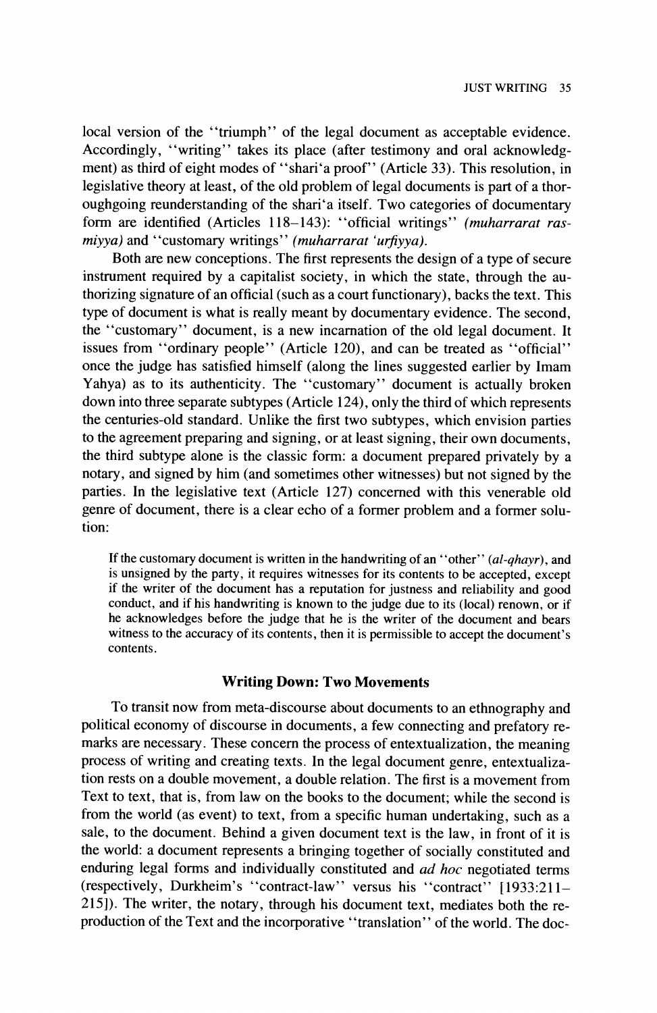**local version of the "triumph" of the legal document as acceptable evidence. Accordingly, "writing" takes its place (after testimony and oral acknowledgment) as third of eight modes of "shari'a proof" (Article 33). This resolution, in legislative theory at least, of the old problem of legal documents is part of a thoroughgoing reunderstanding of the shari'a itself. Two categories of documentary form are identified (Articles 118-143): "official writings" (muharrarat rasmiyya) and "customary writings" (muharrarat 'urfiyya).** 

**Both are new conceptions. The first represents the design of a type of secure instrument required by a capitalist society, in which the state, through the authorizing signature of an official (such as a court functionary), backs the text. This type of document is what is really meant by documentary evidence. The second, the "customary" document, is a new incarnation of the old legal document. It issues from "ordinary people" (Article 120), and can be treated as "official" once the judge has satisfied himself (along the lines suggested earlier by Imam Yahya) as to its authenticity. The "customary" document is actually broken down into three separate subtypes (Article 124), only the third of which represents the centuries-old standard. Unlike the first two subtypes, which envision parties to the agreement preparing and signing, or at least signing, their own documents, the third subtype alone is the classic form: a document prepared privately by a notary, and signed by him (and sometimes other witnesses) but not signed by the parties. In the legislative text (Article 127) concerned with this venerable old genre of document, there is a clear echo of a former problem and a former solution:** 

If the customary document is written in the handwriting of an "other" (al-qhayr), and is unsigned by the party, it requires witnesses for its contents to be accepted, except if the writer of the document has a reputation for justness and reliability and good **conduct, and if his handwriting is known to the judge due to its (local) renown, or if he acknowledges before the judge that he is the writer of the document and bears witness to the accuracy of its contents, then it is permissible to accept the document's contents.** 

#### **Writing Down: Two Movements**

**To transit now from meta-discourse about documents to an ethnography and political economy of discourse in documents, a few connecting and prefatory remarks are necessary. These concern the process of entextualization, the meaning process of writing and creating texts. In the legal document genre, entextualization rests on a double movement, a double relation. The first is a movement from Text to text, that is, from law on the books to the document; while the second is from the world (as event) to text, from a specific human undertaking, such as a sale, to the document. Behind a given document text is the law, in front of it is the world: a document represents a bringing together of socially constituted and enduring legal forms and individually constituted and ad hoc negotiated terms (respectively, Durkheim's "contract-law" versus his "contract" [1933:211- 215]). The writer, the notary, through his document text, mediates both the reproduction of the Text and the incorporative "translation" of the world. The doc-**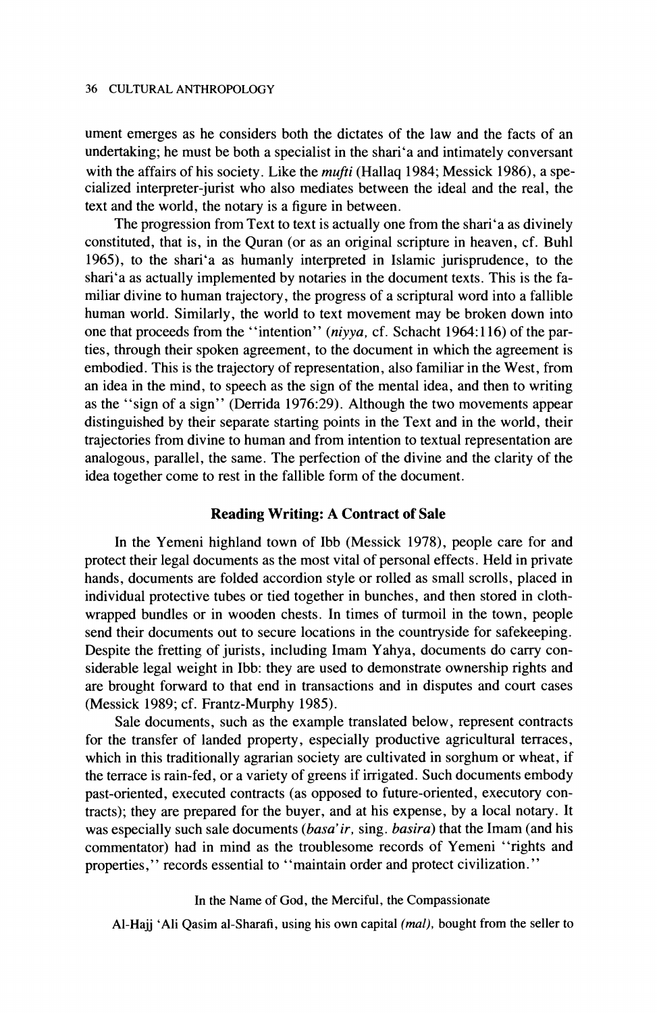**ument emerges as he considers both the dictates of the law and the facts of an undertaking; he must be both a specialist in the shari'a and intimately conversant with the affairs of his society. Like the mufti (Hallaq 1984; Messick 1986), a specialized interpreter-jurist who also mediates between the ideal and the real, the text and the world, the notary is a figure in between.** 

**The progression from Text to text is actually one from the shari'a as divinely constituted, that is, in the Quran (or as an original scripture in heaven, cf. Buhl 1965), to the shari'a as humanly interpreted in Islamic jurisprudence, to the shari'a as actually implemented by notaries in the document texts. This is the familiar divine to human trajectory, the progress of a scriptural word into a fallible human world. Similarly, the world to text movement may be broken down into one that proceeds from the "intention" (niyya, cf. Schacht 1964:116) of the parties, through their spoken agreement, to the document in which the agreement is embodied. This is the trajectory of representation, also familiar in the West, from an idea in the mind, to speech as the sign of the mental idea, and then to writing as the "sign of a sign" (Derrida 1976:29). Although the two movements appear distinguished by their separate starting points in the Text and in the world, their trajectories from divine to human and from intention to textual representation are analogous, parallel, the same. The perfection of the divine and the clarity of the idea together come to rest in the fallible form of the document.** 

#### **Reading Writing: A Contract of Sale**

**In the Yemeni highland town of Ibb (Messick 1978), people care for and protect their legal documents as the most vital of personal effects. Held in private hands, documents are folded accordion style or rolled as small scrolls, placed in individual protective tubes or tied together in bunches, and then stored in clothwrapped bundles or in wooden chests. In times of turmoil in the town, people send their documents out to secure locations in the countryside for safekeeping. Despite the fretting of jurists, including Imam Yahya, documents do carry considerable legal weight in Ibb: they are used to demonstrate ownership rights and are brought forward to that end in transactions and in disputes and court cases (Messick 1989; cf. Frantz-Murphy 1985).** 

**Sale documents, such as the example translated below, represent contracts for the transfer of landed property, especially productive agricultural terraces, which in this traditionally agrarian society are cultivated in sorghum or wheat, if the terrace is rain-fed, or a variety of greens if irrigated. Such documents embody past-oriented, executed contracts (as opposed to future-oriented, executory contracts); they are prepared for the buyer, and at his expense, by a local notary. It was especially such sale documents (basa' ir, sing. basira) that the Imam (and his commentator) had in mind as the troublesome records of Yemeni "rights and properties," records essential to "maintain order and protect civilization."** 

**In the Name of God, the Merciful, the Compassionate** 

**Al-Hajj 'Ali Qasim al-Sharafi, using his own capital (mal), bought from the seller to**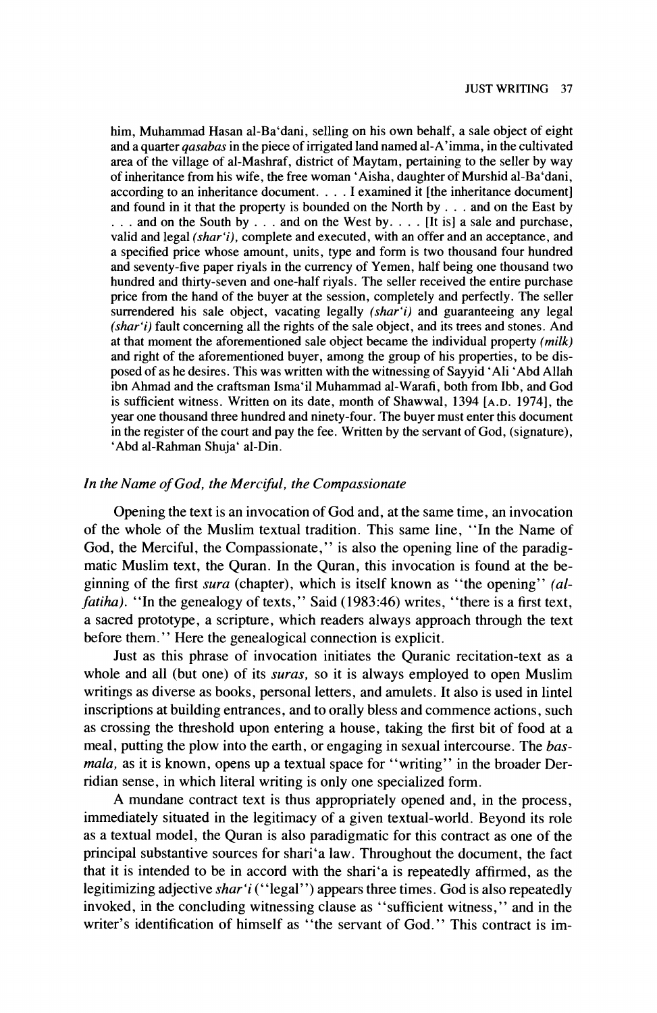**him, Muhammad Hasan al-Ba'dani, selling on his own behalf, a sale object of eight and a quarter qasabas in the piece of irrigated land named al-A'imma, in the cultivated area of the village of al-Mashraf, district of Maytam, pertaining to the seller by way of inheritance from his wife, the free woman 'Aisha, daughter of Murshid al-Ba'dani, according to an inheritance document. ... I examined it [the inheritance document] and found in it that the property is bounded on the North by ... and on the East by ... and on the South by ... and on the West by. ... [It is] a sale and purchase, valid and legal (shar'i), complete and executed, with an offer and an acceptance, and a specified price whose amount, units, type and form is two thousand four hundred and seventy-five paper riyals in the currency of Yemen, half being one thousand two hundred and thirty-seven and one-half riyals. The seller received the entire purchase price from the hand of the buyer at the session, completely and perfectly. The seller surrendered his sale object, vacating legally (shar'i) and guaranteeing any legal (shar'i) fault concerning all the rights of the sale object, and its trees and stones. And at that moment the aforementioned sale object became the individual property (milk) and right of the aforementioned buyer, among the group of his properties, to be disposed of as he desires. This was written with the witnessing of Sayyid 'Ali 'Abd Allah ibn Ahmad and the craftsman Isma'il Muhammad al-Warafi, both from Ibb, and God is sufficient witness. Written on its date, month of Shawwal, 1394 [A.D. 1974], the year one thousand three hundred and ninety-four. The buyer must enter this document in the register of the court and pay the fee. Written by the servant of God, (signature), 'Abd al-Rahman Shuja' al-Din.** 

#### **In the Name of God, the Merciful, the Compassionate**

**Opening the text is an invocation of God and, at the same time, an invocation of the whole of the Muslim textual tradition. This same line, "In the Name of**  God, the Merciful, the Compassionate," is also the opening line of the paradig**matic Muslim text, the Quran. In the Quran, this invocation is found at the beginning of the first sura (chapter), which is itself known as "the opening" (alfatiha). "In the genealogy of texts," Said (1983:46) writes, "there is a first text, a sacred prototype, a scripture, which readers always approach through the text before them." Here the genealogical connection is explicit.** 

**Just as this phrase of invocation initiates the Quranic recitation-text as a whole and all (but one) of its suras, so it is always employed to open Muslim writings as diverse as books, personal letters, and amulets. It also is used in lintel inscriptions at building entrances, and to orally bless and commence actions, such as crossing the threshold upon entering a house, taking the first bit of food at a meal, putting the plow into the earth, or engaging in sexual intercourse. The basmala, as it is known, opens up a textual space for "writing" in the broader Derridian sense, in which literal writing is only one specialized form.** 

**A mundane contract text is thus appropriately opened and, in the process, immediately situated in the legitimacy of a given textual-world. Beyond its role as a textual model, the Quran is also paradigmatic for this contract as one of the principal substantive sources for shari'a law. Throughout the document, the fact that it is intended to be in accord with the shari'a is repeatedly affirmed, as the legitimizing adjective shar'i ("legal") appears three times. God is also repeatedly invoked, in the concluding witnessing clause as "sufficient witness," and in the**  writer's identification of himself as "the servant of God." This contract is im-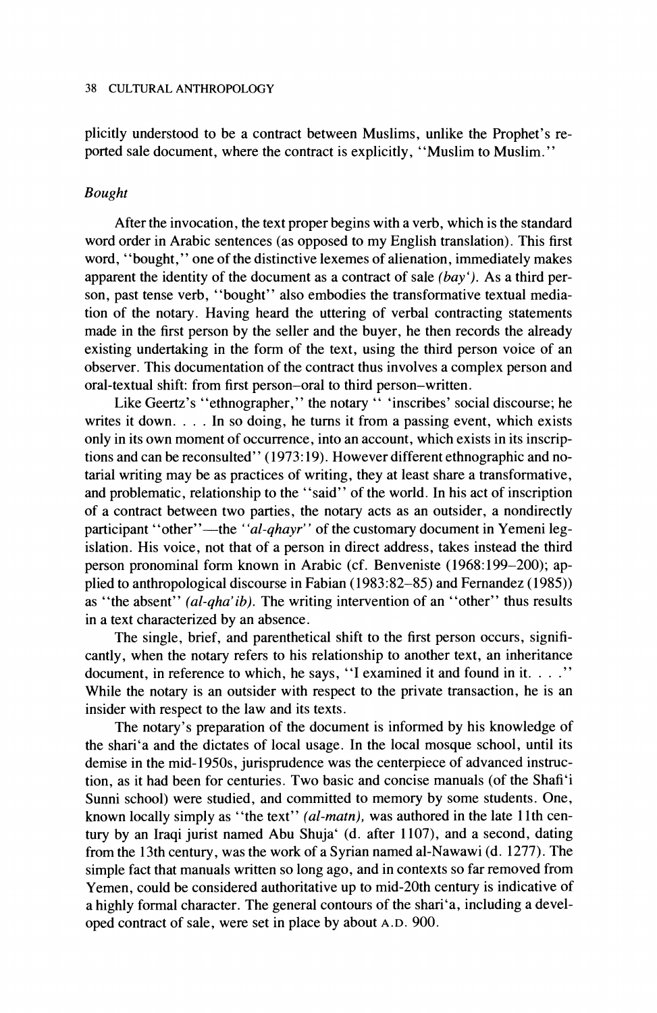**plicitly understood to be a contract between Muslims, unlike the Prophet's reported sale document, where the contract is explicitly, "Muslim to Muslim."** 

#### **Bought**

**After the invocation, the text proper begins with a verb, which is the standard word order in Arabic sentences (as opposed to my English translation). This first word, "bought," one of the distinctive lexemes of alienation, immediately makes apparent the identity of the document as a contract of sale (bay'). As a third person, past tense verb, "bought" also embodies the transformative textual mediation of the notary. Having heard the uttering of verbal contracting statements made in the first person by the seller and the buyer, he then records the already existing undertaking in the form of the text, using the third person voice of an observer. This documentation of the contract thus involves a complex person and oral-textual shift: from first person-oral to third person-written.** 

Like Geertz's "ethnographer," the notary " 'inscribes' social discourse; he **writes it down. ... In so doing, he turns it from a passing event, which exists only in its own moment of occurrence, into an account, which exists in its inscriptions and can be reconsulted" (1973:19). However different ethnographic and notarial writing may be as practices of writing, they at least share a transformative, and problematic, relationship to the "said" of the world. In his act of inscription of a contract between two parties, the notary acts as an outsider, a nondirectly**  participant "other"—the "al-qhayr" of the customary document in Yemeni leg**islation. His voice, not that of a person in direct address, takes instead the third person pronominal form known in Arabic (cf. Benveniste (1968:199-200); applied to anthropological discourse in Fabian (1983:82-85) and Fernandez (1985)) as "the absent" (al-qha'ib). The writing intervention of an "other" thus results in a text characterized by an absence.** 

**The single, brief, and parenthetical shift to the first person occurs, significantly, when the notary refers to his relationship to another text, an inheritance**  document, in reference to which, he says, "I examined it and found in it. . . . ." **While the notary is an outsider with respect to the private transaction, he is an insider with respect to the law and its texts.** 

**The notary's preparation of the document is informed by his knowledge of the shari'a and the dictates of local usage. In the local mosque school, until its demise in the mid-1950s, jurisprudence was the centerpiece of advanced instruction, as it had been for centuries. Two basic and concise manuals (of the Shafi'i Sunni school) were studied, and committed to memory by some students. One, known locally simply as "the text" (al-matn), was authored in the late 11th century by an Iraqi jurist named Abu Shuja' (d. after 1107), and a second, dating from the 13th century, was the work of a Syrian named al-Nawawi (d. 1277). The simple fact that manuals written so long ago, and in contexts so far removed from Yemen, could be considered authoritative up to mid-20th century is indicative of a highly formal character. The general contours of the shari'a, including a developed contract of sale, were set in place by about A.D. 900.**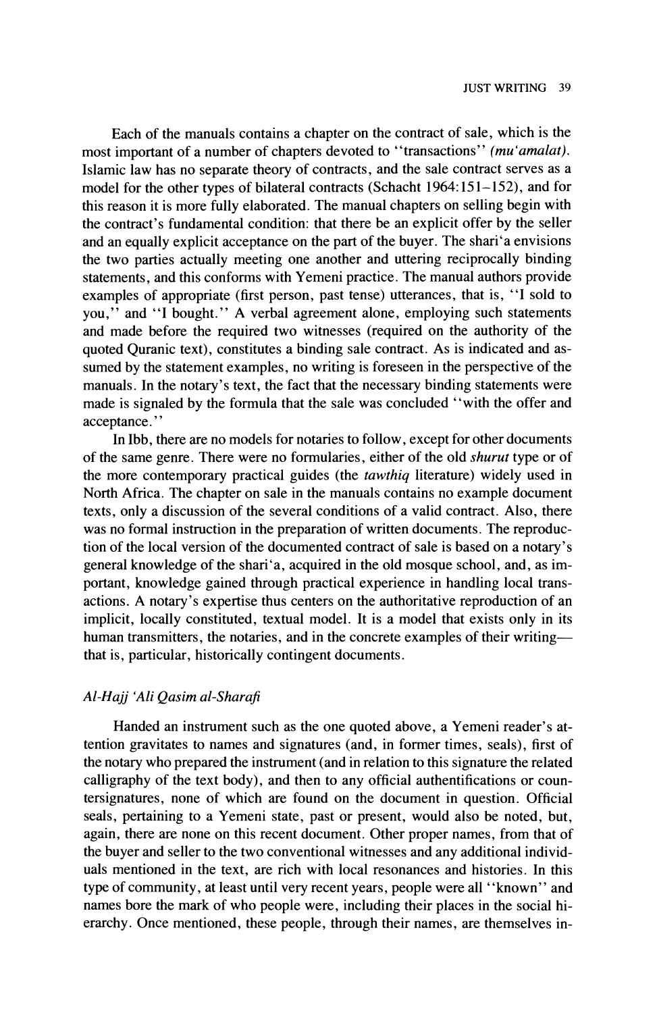**Each of the manuals contains a chapter on the contract of sale, which is the most important of a number of chapters devoted to "transactions" (mu'amalat). Islamic law has no separate theory of contracts, and the sale contract serves as a model for the other types of bilateral contracts (Schacht 1964:151-152), and for this reason it is more fully elaborated. The manual chapters on selling begin with the contract's fundamental condition: that there be an explicit offer by the seller and an equally explicit acceptance on the part of the buyer. The shari'a envisions the two parties actually meeting one another and uttering reciprocally binding statements, and this conforms with Yemeni practice. The manual authors provide examples of appropriate (first person, past tense) utterances, that is, "I sold to you," and "I bought." A verbal agreement alone, employing such statements and made before the required two witnesses (required on the authority of the quoted Quranic text), constitutes a binding sale contract. As is indicated and assumed by the statement examples, no writing is foreseen in the perspective of the manuals. In the notary's text, the fact that the necessary binding statements were made is signaled by the formula that the sale was concluded "with the offer and acceptance."** 

**In Ibb, there are no models for notaries to follow, except for other documents of the same genre. There were no formularies, either of the old shurut type or of the more contemporary practical guides (the tawthiq literature) widely used in North Africa. The chapter on sale in the manuals contains no example document texts, only a discussion of the several conditions of a valid contract. Also, there was no formal instruction in the preparation of written documents. The reproduction of the local version of the documented contract of sale is based on a notary's general knowledge of the shari'a, acquired in the old mosque school, and, as important, knowledge gained through practical experience in handling local transactions. A notary's expertise thus centers on the authoritative reproduction of an implicit, locally constituted, textual model. It is a model that exists only in its human transmitters, the notaries, and in the concrete examples of their writingthat is, particular, historically contingent documents.** 

#### **Al-Hajj 'Ali Qasim al-Sharafi**

**Handed an instrument such as the one quoted above, a Yemeni reader's attention gravitates to names and signatures (and, in former times, seals), first of the notary who prepared the instrument (and in relation to this signature the related calligraphy of the text body), and then to any official authentifications or countersignatures, none of which are found on the document in question. Official seals, pertaining to a Yemeni state, past or present, would also be noted, but, again, there are none on this recent document. Other proper names, from that of the buyer and seller to the two conventional witnesses and any additional individuals mentioned in the text, are rich with local resonances and histories. In this type of community, at least until very recent years, people were all "known" and names bore the mark of who people were, including their places in the social hierarchy. Once mentioned, these people, through their names, are themselves in-**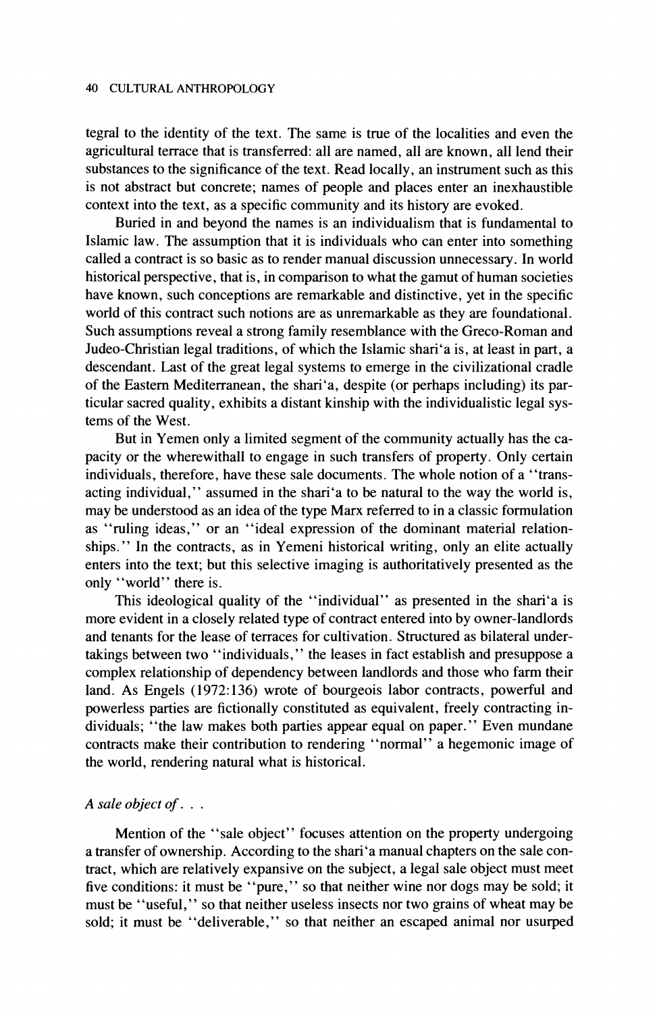**tegral to the identity of the text. The same is true of the localities and even the agricultural terrace that is transferred: all are named, all are known, all lend their substances to the significance of the text. Read locally, an instrument such as this is not abstract but concrete; names of people and places enter an inexhaustible context into the text, as a specific community and its history are evoked.** 

**Buried in and beyond the names is an individualism that is fundamental to Islamic law. The assumption that it is individuals who can enter into something called a contract is so basic as to render manual discussion unnecessary. In world historical perspective, that is, in comparison to what the gamut of human societies have known, such conceptions are remarkable and distinctive, yet in the specific world of this contract such notions are as unremarkable as they are foundational. Such assumptions reveal a strong family resemblance with the Greco-Roman and Judeo-Christian legal traditions, of which the Islamic shari'a is, at least in part, a descendant. Last of the great legal systems to emerge in the civilizational cradle of the Eastern Mediterranean, the shari'a, despite (or perhaps including) its particular sacred quality, exhibits a distant kinship with the individualistic legal systems of the West.** 

**But in Yemen only a limited segment of the community actually has the capacity or the wherewithall to engage in such transfers of property. Only certain individuals, therefore, have these sale documents. The whole notion of a "transacting individual," assumed in the shari'a to be natural to the way the world is, may be understood as an idea of the type Marx referred to in a classic formulation as "ruling ideas," or an "ideal expression of the dominant material relationships." In the contracts, as in Yemeni historical writing, only an elite actually enters into the text; but this selective imaging is authoritatively presented as the only "world" there is.** 

**This ideological quality of the "individual" as presented in the shari'a is more evident in a closely related type of contract entered into by owner-landlords and tenants for the lease of terraces for cultivation. Structured as bilateral undertakings between two "individuals," the leases in fact establish and presuppose a complex relationship of dependency between landlords and those who farm their land. As Engels (1972:136) wrote of bourgeois labor contracts, powerful and powerless parties are fictionally constituted as equivalent, freely contracting individuals; "the law makes both parties appear equal on paper." Even mundane contracts make their contribution to rendering "normal" a hegemonic image of the world, rendering natural what is historical.** 

#### **A sale object of ...**

**Mention of the "sale object" focuses attention on the property undergoing a transfer of ownership. According to the shari'a manual chapters on the sale contract, which are relatively expansive on the subject, a legal sale object must meet**  five conditions: it must be "pure," so that neither wine nor dogs may be sold; it **must be "useful," so that neither useless insects nor two grains of wheat may be sold; it must be "deliverable," so that neither an escaped animal nor usurped**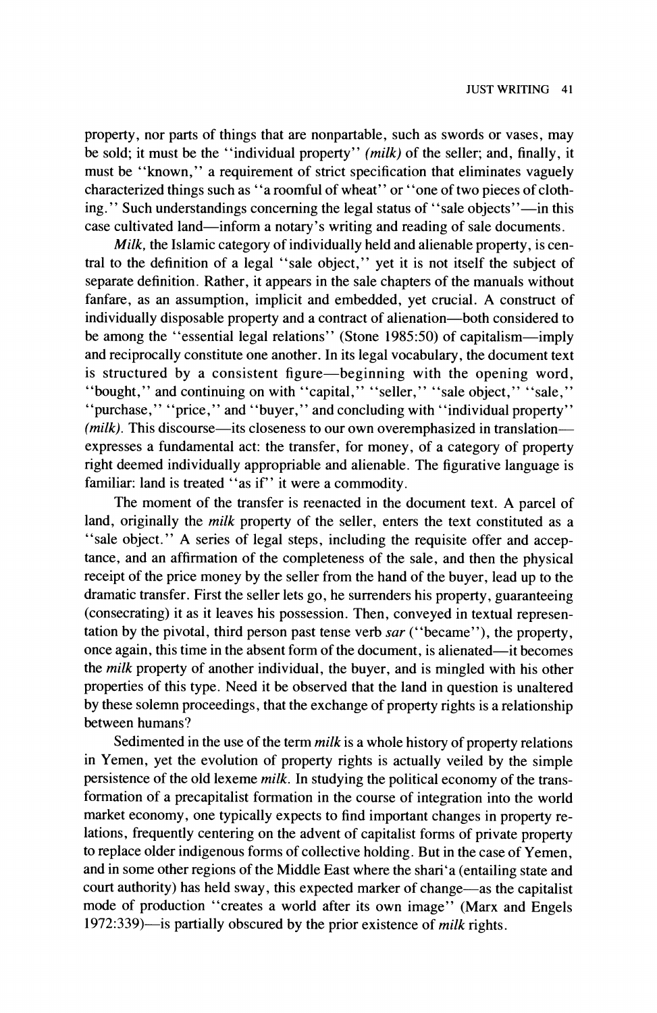**property, nor parts of things that are nonpartable, such as swords or vases, may be sold; it must be the "individual property" (milk) of the seller; and, finally, it must be "known," a requirement of strict specification that eliminates vaguely**  characterized things such as "a roomful of wheat" or "one of two pieces of clothing." Such understandings concerning the legal status of "sale objects"—in this case cultivated land-inform a notary's writing and reading of sale documents.

**Milk, the Islamic category of individually held and alienable property, is central to the definition of a legal "sale object," yet it is not itself the subject of separate definition. Rather, it appears in the sale chapters of the manuals without fanfare, as an assumption, implicit and embedded, yet crucial. A construct of individually disposable property and a contract of alienation-both considered to be among the "essential legal relations" (Stone 1985:50) of capitalism-imply and reciprocally constitute one another. In its legal vocabulary, the document text is structured by a consistent figure-beginning with the opening word, "bought," and continuing on with "capital," "seller," "sale object," "sale," "purchase," "price," and "buyer," and concluding with "individual property"**  (*milk*). This discourse—its closeness to our own overemphasized in translation **expresses a fundamental act: the transfer, for money, of a category of property right deemed individually appropriable and alienable. The figurative language is familiar: land is treated "as if" it were a commodity.** 

**The moment of the transfer is reenacted in the document text. A parcel of land, originally the milk property of the seller, enters the text constituted as a "sale object." A series of legal steps, including the requisite offer and acceptance, and an affirmation of the completeness of the sale, and then the physical receipt of the price money by the seller from the hand of the buyer, lead up to the dramatic transfer. First the seller lets go, he surrenders his property, guaranteeing (consecrating) it as it leaves his possession. Then, conveyed in textual representation by the pivotal, third person past tense verb sar ("became"), the property, once again, this time in the absent form of the document, is alienated-it becomes the milk property of another individual, the buyer, and is mingled with his other properties of this type. Need it be observed that the land in question is unaltered by these solemn proceedings, that the exchange of property rights is a relationship between humans?** 

**Sedimented in the use of the term milk is a whole history of property relations in Yemen, yet the evolution of property rights is actually veiled by the simple persistence of the old lexeme milk. In studying the political economy of the transformation of a precapitalist formation in the course of integration into the world market economy, one typically expects to find important changes in property relations, frequently centering on the advent of capitalist forms of private property to replace older indigenous forms of collective holding. But in the case of Yemen, and in some other regions of the Middle East where the shari'a (entailing state and**  court authority) has held sway, this expected marker of change—as the capitalist **mode of production "creates a world after its own image" (Marx and Engels**  1972:339)—is partially obscured by the prior existence of *milk* rights.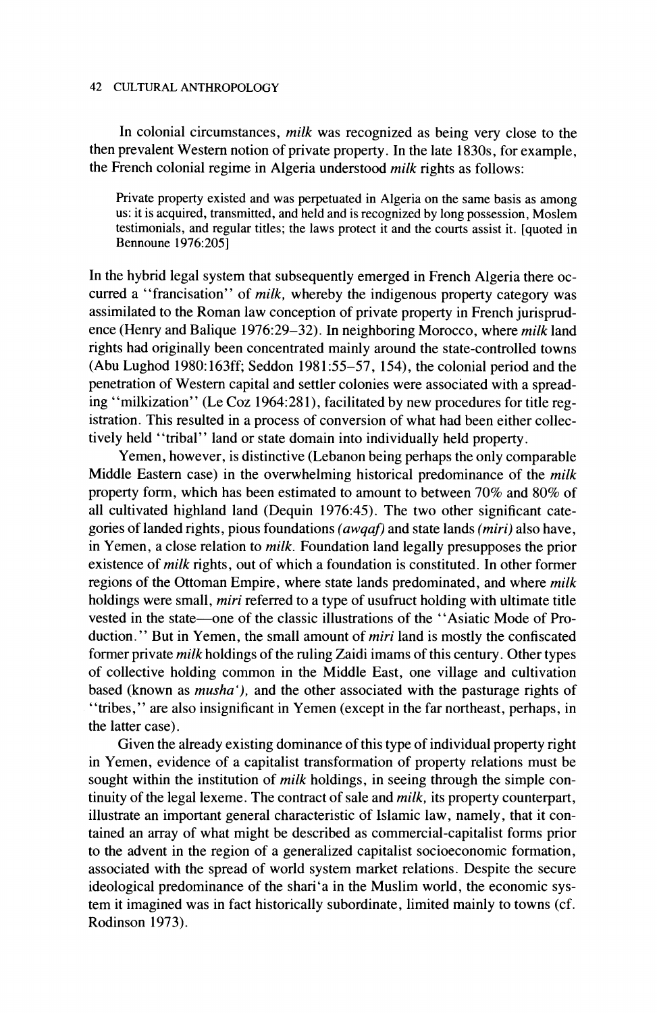**In colonial circumstances, milk was recognized as being very close to the then prevalent Western notion of private property. In the late 1830s, for example, the French colonial regime in Algeria understood milk rights as follows:** 

**Private property existed and was perpetuated in Algeria on the same basis as among us: it is acquired, transmitted, and held and is recognized by long possession, Moslem testimonials, and regular titles; the laws protect it and the courts assist it. [quoted in Bennoune 1976:205]** 

**In the hybrid legal system that subsequently emerged in French Algeria there occurred a "francisation" of milk, whereby the indigenous property category was assimilated to the Roman law conception of private property in French jurisprudence (Henry and Balique 1976:29-32). In neighboring Morocco, where milk land rights had originally been concentrated mainly around the state-controlled towns (Abu Lughod 1980:163ff; Seddon 1981:55-57, 154), the colonial period and the penetration of Western capital and settler colonies were associated with a spreading "milkization" (Le Coz 1964:281), facilitated by new procedures for title registration. This resulted in a process of conversion of what had been either collectively held "tribal" land or state domain into individually held property.** 

**Yemen, however, is distinctive (Lebanon being perhaps the only comparable Middle Eastern case) in the overwhelming historical predominance of the milk property form, which has been estimated to amount to between 70% and 80% of all cultivated highland land (Dequin 1976:45). The two other significant categories of landed rights, pious foundations (awqaf) and state lands (miri) also have, in Yemen, a close relation to milk. Foundation land legally presupposes the prior existence of milk rights, out of which a foundation is constituted. In other former regions of the Ottoman Empire, where state lands predominated, and where milk holdings were small, miri referred to a type of usufruct holding with ultimate title**  vested in the state—one of the classic illustrations of the "Asiatic Mode of Pro**duction." But in Yemen, the small amount of miri land is mostly the confiscated former private milk holdings of the ruling Zaidi imams of this century. Other types of collective holding common in the Middle East, one village and cultivation based (known as musha'), and the other associated with the pasturage rights of "tribes," are also insignificant in Yemen (except in the far northeast, perhaps, in the latter case).** 

**Given the already existing dominance of this type of individual property right in Yemen, evidence of a capitalist transformation of property relations must be sought within the institution of milk holdings, in seeing through the simple continuity of the legal lexeme. The contract of sale and milk, its property counterpart, illustrate an important general characteristic of Islamic law, namely, that it contained an array of what might be described as commercial-capitalist forms prior to the advent in the region of a generalized capitalist socioeconomic formation, associated with the spread of world system market relations. Despite the secure ideological predominance of the shari'a in the Muslim world, the economic system it imagined was in fact historically subordinate, limited mainly to towns (cf. Rodinson 1973).**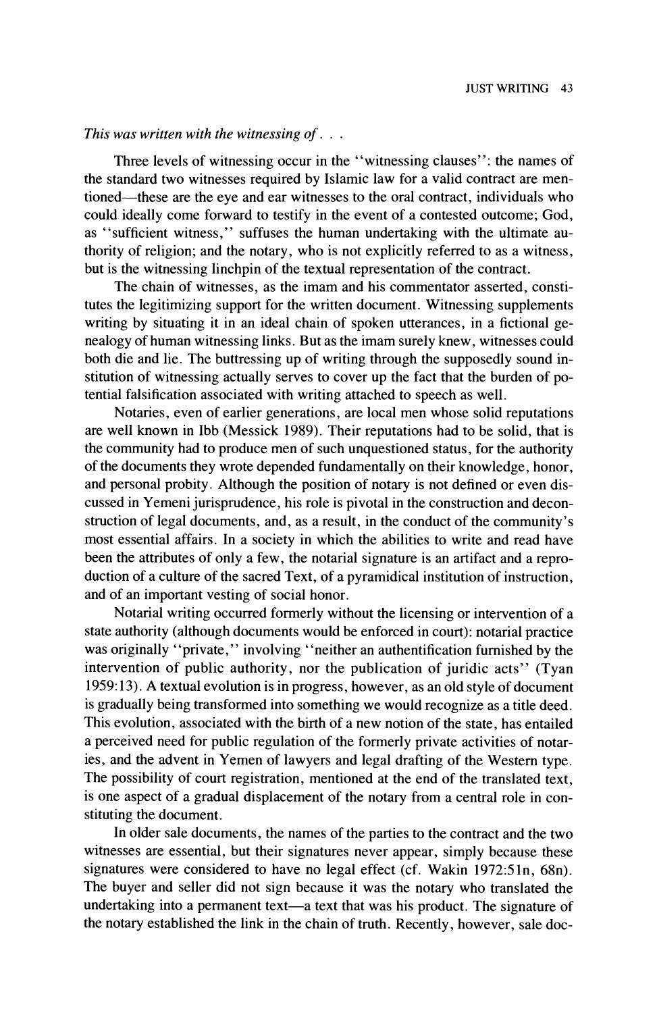#### **This was written with the witnessing of...**

**Three levels of witnessing occur in the "witnessing clauses": the names of the standard two witnesses required by Islamic law for a valid contract are men**tioned—these are the eye and ear witnesses to the oral contract, individuals who **could ideally come forward to testify in the event of a contested outcome; God, as "sufficient witness," suffuses the human undertaking with the ultimate authority of religion; and the notary, who is not explicitly referred to as a witness, but is the witnessing linchpin of the textual representation of the contract.** 

**The chain of witnesses, as the imam and his commentator asserted, constitutes the legitimizing support for the written document. Witnessing supplements writing by situating it in an ideal chain of spoken utterances, in a fictional genealogy of human witnessing links. But as the imam surely knew, witnesses could both die and lie. The buttressing up of writing through the supposedly sound institution of witnessing actually serves to cover up the fact that the burden of potential falsification associated with writing attached to speech as well.** 

**Notaries, even of earlier generations, are local men whose solid reputations are well known in Ibb (Messick 1989). Their reputations had to be solid, that is the community had to produce men of such unquestioned status, for the authority of the documents they wrote depended fundamentally on their knowledge, honor, and personal probity. Although the position of notary is not defined or even discussed in Yemeni jurisprudence, his role is pivotal in the construction and deconstruction of legal documents, and, as a result, in the conduct of the community's most essential affairs. In a society in which the abilities to write and read have been the attributes of only a few, the notarial signature is an artifact and a reproduction of a culture of the sacred Text, of a pyramidical institution of instruction, and of an important vesting of social honor.** 

**Notarial writing occurred formerly without the licensing or intervention of a state authority (although documents would be enforced in court): notarial practice**  was originally "private," involving "neither an authentification furnished by the **intervention of public authority, nor the publication of juridic acts" (Tyan 1959:13). A textual evolution is in progress, however, as an old style of document is gradually being transformed into something we would recognize as a title deed. This evolution, associated with the birth of a new notion of the state, has entailed a perceived need for public regulation of the formerly private activities of notaries, and the advent in Yemen of lawyers and legal drafting of the Western type. The possibility of court registration, mentioned at the end of the translated text, is one aspect of a gradual displacement of the notary from a central role in constituting the document.** 

**In older sale documents, the names of the parties to the contract and the two witnesses are essential, but their signatures never appear, simply because these signatures were considered to have no legal effect (cf. Wakin 1972:51n, 68n). The buyer and seller did not sign because it was the notary who translated the**  undertaking into a permanent text-a text that was his product. The signature of **the notary established the link in the chain of truth. Recently, however, sale doc-**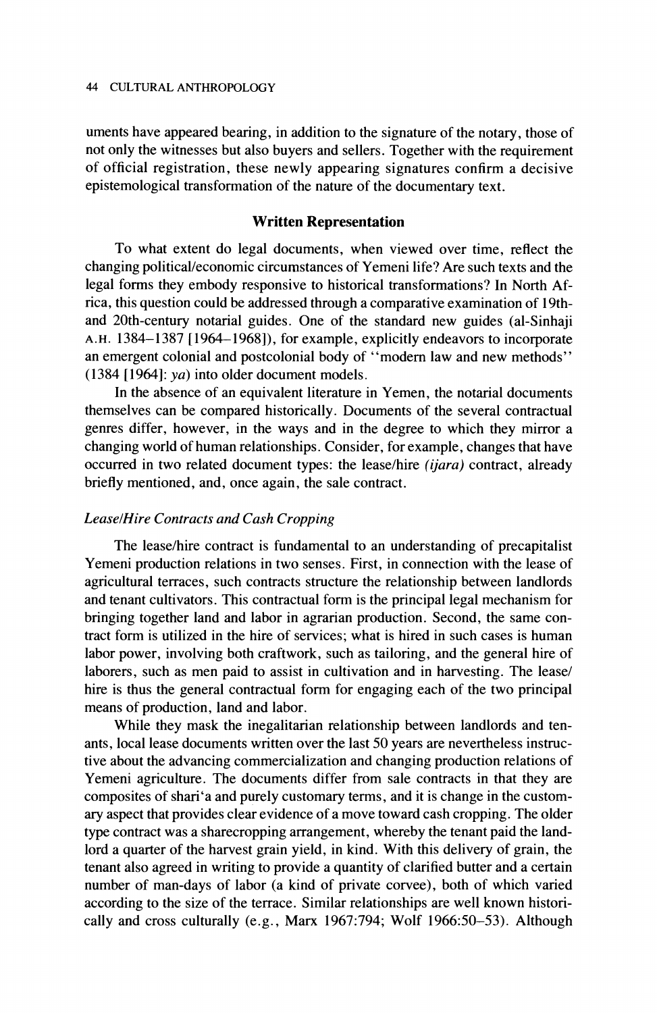**uments have appeared bearing, in addition to the signature of the notary, those of not only the witnesses but also buyers and sellers. Together with the requirement of official registration, these newly appearing signatures confirm a decisive epistemological transformation of the nature of the documentary text.** 

#### **Written Representation**

**To what extent do legal documents, when viewed over time, reflect the changing political/economic circumstances of Yemeni life? Are such texts and the legal forms they embody responsive to historical transformations? In North Africa, this question could be addressed through a comparative examination of 19thand 20th-century notarial guides. One of the standard new guides (al-Sinhaji A.H. 1384-1387 [1964-1968]), for example, explicitly endeavors to incorporate an emergent colonial and postcolonial body of "modem law and new methods" (1384 [1964]: ya) into older document models.** 

**In the absence of an equivalent literature in Yemen, the notarial documents themselves can be compared historically. Documents of the several contractual genres differ, however, in the ways and in the degree to which they mirror a changing world of human relationships. Consider, for example, changes that have occurred in two related document types: the lease/hire (ijara) contract, already briefly mentioned, and, once again, the sale contract.** 

#### **Lease/Hire Contracts and Cash Cropping**

**The lease/hire contract is fundamental to an understanding of precapitalist Yemeni production relations in two senses. First, in connection with the lease of agricultural terraces, such contracts structure the relationship between landlords and tenant cultivators. This contractual form is the principal legal mechanism for bringing together land and labor in agrarian production. Second, the same contract form is utilized in the hire of services; what is hired in such cases is human labor power, involving both craftwork, such as tailoring, and the general hire of laborers, such as men paid to assist in cultivation and in harvesting. The lease/ hire is thus the general contractual form for engaging each of the two principal means of production, land and labor.** 

**While they mask the inegalitarian relationship between landlords and tenants, local lease documents written over the last 50 years are nevertheless instructive about the advancing commercialization and changing production relations of Yemeni agriculture. The documents differ from sale contracts in that they are composites of shari'a and purely customary terms, and it is change in the customary aspect that provides clear evidence of a move toward cash cropping. The older type contract was a sharecropping arrangement, whereby the tenant paid the landlord a quarter of the harvest grain yield, in kind. With this delivery of grain, the tenant also agreed in writing to provide a quantity of clarified butter and a certain number of man-days of labor (a kind of private corvee), both of which varied according to the size of the terrace. Similar relationships are well known historically and cross culturally (e.g., Marx 1967:794; Wolf 1966:50-53). Although**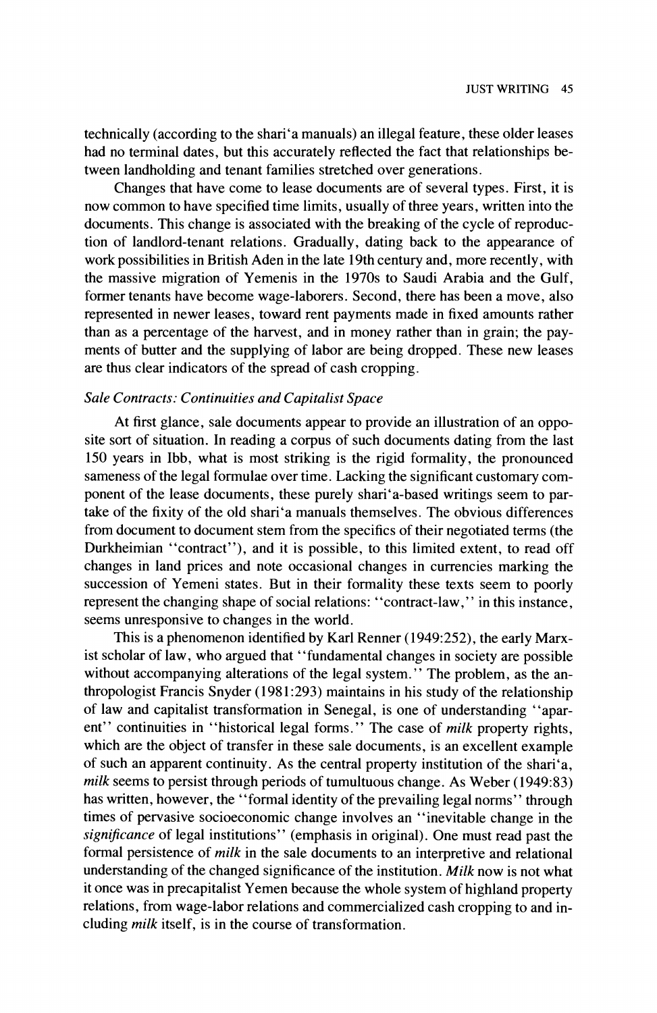**technically (according to the shari'a manuals) an illegal feature, these older leases had no terminal dates, but this accurately reflected the fact that relationships between landholding and tenant families stretched over generations.** 

**Changes that have come to lease documents are of several types. First, it is now common to have specified time limits, usually of three years, written into the documents. This change is associated with the breaking of the cycle of reproduction of landlord-tenant relations. Gradually, dating back to the appearance of work possibilities in British Aden in the late 19th century and, more recently, with the massive migration of Yemenis in the 1970s to Saudi Arabia and the Gulf, former tenants have become wage-laborers. Second, there has been a move, also represented in newer leases, toward rent payments made in fixed amounts rather than as a percentage of the harvest, and in money rather than in grain; the payments of butter and the supplying of labor are being dropped. These new leases are thus clear indicators of the spread of cash cropping.** 

#### **Sale Contracts: Continuities and Capitalist Space**

**At first glance, sale documents appear to provide an illustration of an opposite sort of situation. In reading a corpus of such documents dating from the last 150 years in Ibb, what is most striking is the rigid formality, the pronounced sameness of the legal formulae over time. Lacking the significant customary component of the lease documents, these purely shari'a-based writings seem to partake of the fixity of the old shari'a manuals themselves. The obvious differences from document to document stem from the specifics of their negotiated terms (the Durkheimian "contract"), and it is possible, to this limited extent, to read off changes in land prices and note occasional changes in currencies marking the succession of Yemeni states. But in their formality these texts seem to poorly represent the changing shape of social relations: "contract-law," in this instance, seems unresponsive to changes in the world.** 

**This is a phenomenon identified by Karl Renner (1949:252), the early Marxist scholar of law, who argued that "fundamental changes in society are possible without accompanying alterations of the legal system." The problem, as the anthropologist Francis Snyder (1981:293) maintains in his study of the relationship of law and capitalist transformation in Senegal, is one of understanding "aparent" continuities in "historical legal forms." The case of milk property rights, which are the object of transfer in these sale documents, is an excellent example of such an apparent continuity. As the central property institution of the shari'a, milk seems to persist through periods of tumultuous change. As Weber (1949:83) has written, however, the "formal identity of the prevailing legal norms" through times of pervasive socioeconomic change involves an "inevitable change in the significance of legal institutions" (emphasis in original). One must read past the formal persistence of milk in the sale documents to an interpretive and relational understanding of the changed significance of the institution. Milk now is not what it once was in precapitalist Yemen because the whole system of highland property relations, from wage-labor relations and commercialized cash cropping to and including milk itself, is in the course of transformation.**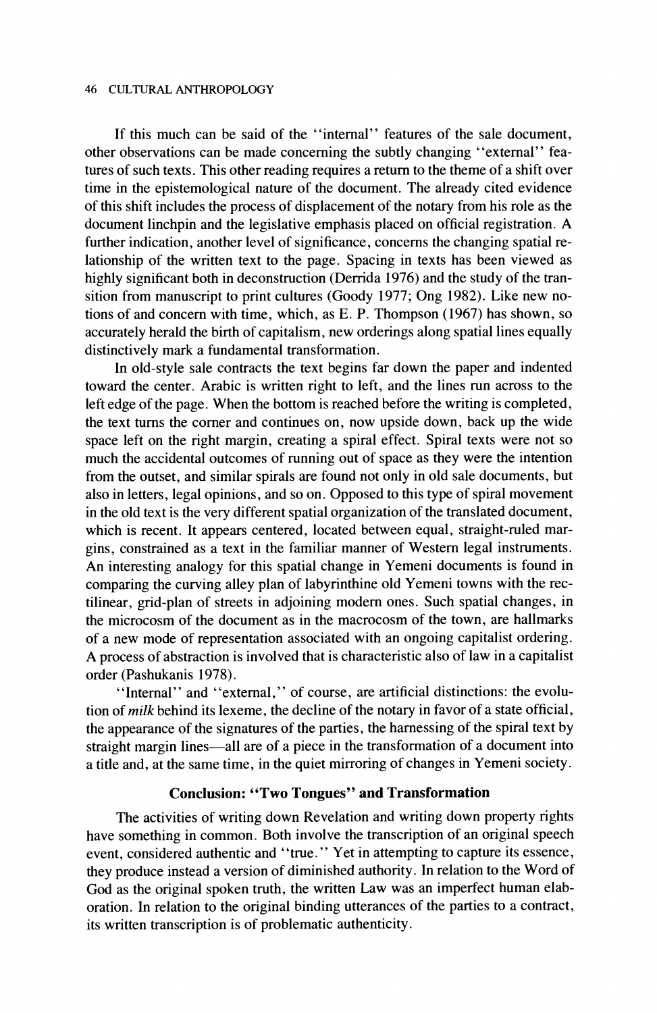**If this much can be said of the "internal" features of the sale document, other observations can be made concerning the subtly changing "external" features of such texts. This other reading requires a return to the theme of a shift over time in the epistemological nature of the document. The already cited evidence of this shift includes the process of displacement of the notary from his role as the document linchpin and the legislative emphasis placed on official registration. A further indication, another level of significance, concerns the changing spatial relationship of the written text to the page. Spacing in texts has been viewed as highly significant both in deconstruction (Derrida 1976) and the study of the transition from manuscript to print cultures (Goody 1977; Ong 1982). Like new notions of and concern with time, which, as E. P. Thompson (1967) has shown, so accurately herald the birth of capitalism, new orderings along spatial lines equally distinctively mark a fundamental transformation.** 

**In old-style sale contracts the text begins far down the paper and indented toward the center. Arabic is written right to left, and the lines run across to the left edge of the page. When the bottom is reached before the writing is completed, the text turns the corner and continues on, now upside down, back up the wide space left on the right margin, creating a spiral effect. Spiral texts were not so much the accidental outcomes of running out of space as they were the intention from the outset, and similar spirals are found not only in old sale documents, but also in letters, legal opinions, and so on. Opposed to this type of spiral movement in the old text is the very different spatial organization of the translated document, which is recent. It appears centered, located between equal, straight-ruled margins, constrained as a text in the familiar manner of Western legal instruments. An interesting analogy for this spatial change in Yemeni documents is found in comparing the curving alley plan of labyrinthine old Yemeni towns with the rectilinear, grid-plan of streets in adjoining modern ones. Such spatial changes, in the microcosm of the document as in the macrocosm of the town, are hallmarks of a new mode of representation associated with an ongoing capitalist ordering. A process of abstraction is involved that is characteristic also of law in a capitalist order (Pashukanis 1978).** 

**"Internal" and "external," of course, are artificial distinctions: the evolution of milk behind its lexeme, the decline of the notary in favor of a state official, the appearance of the signatures of the parties, the harnessing of the spiral text by straight margin lines-all are of a piece in the transformation of a document into a title and, at the same time, in the quiet mirroring of changes in Yemeni society.** 

### **Conclusion: "Two Tongues" and Transformation**

**The activities of writing down Revelation and writing down property rights have something in common. Both involve the transcription of an original speech event, considered authentic and "true." Yet in attempting to capture its essence, they produce instead a version of diminished authority. In relation to the Word of God as the original spoken truth, the written Law was an imperfect human elaboration. In relation to the original binding utterances of the parties to a contract, its written transcription is of problematic authenticity.**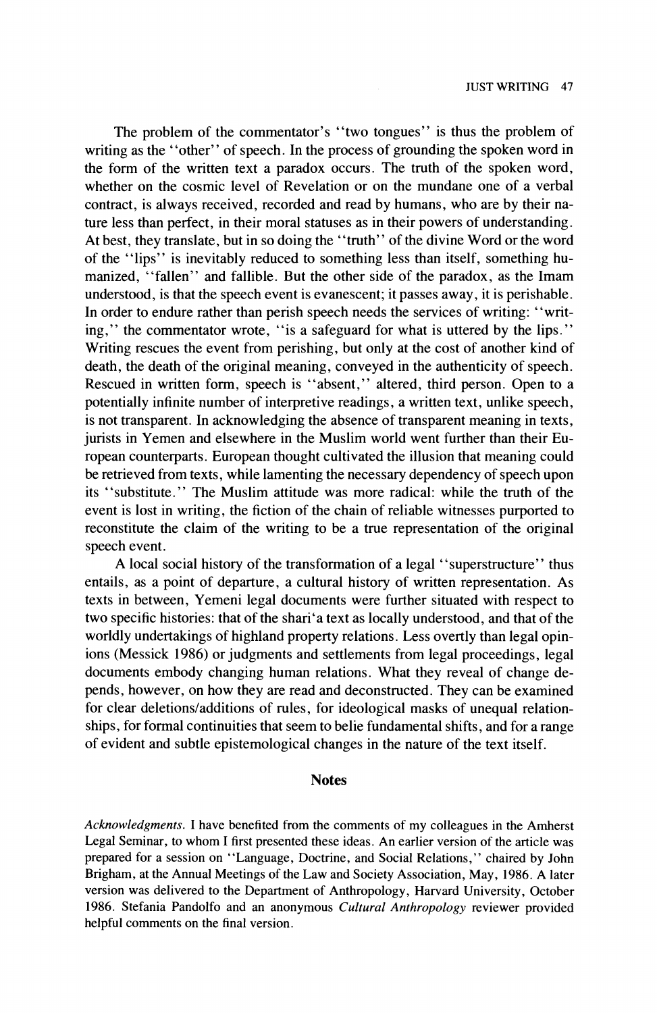**The problem of the commentator's "two tongues" is thus the problem of writing as the "other" of speech. In the process of grounding the spoken word in the form of the written text a paradox occurs. The truth of the spoken word, whether on the cosmic level of Revelation or on the mundane one of a verbal contract, is always received, recorded and read by humans, who are by their nature less than perfect, in their moral statuses as in their powers of understanding. At best, they translate, but in so doing the "truth" of the divine Word or the word of the "lips" is inevitably reduced to something less than itself, something humanized, "fallen" and fallible. But the other side of the paradox, as the Imam understood, is that the speech event is evanescent; it passes away, it is perishable. In order to endure rather than perish speech needs the services of writing: "writing," the commentator wrote, "is a safeguard for what is uttered by the lips." Writing rescues the event from perishing, but only at the cost of another kind of death, the death of the original meaning, conveyed in the authenticity of speech. Rescued in written form, speech is "absent," altered, third person. Open to a potentially infinite number of interpretive readings, a written text, unlike speech, is not transparent. In acknowledging the absence of transparent meaning in texts, jurists in Yemen and elsewhere in the Muslim world went further than their European counterparts. European thought cultivated the illusion that meaning could be retrieved from texts, while lamenting the necessary dependency of speech upon its "substitute." The Muslim attitude was more radical: while the truth of the event is lost in writing, the fiction of the chain of reliable witnesses purported to reconstitute the claim of the writing to be a true representation of the original speech event.** 

**A local social history of the transformation of a legal "superstructure" thus entails, as a point of departure, a cultural history of written representation. As texts in between, Yemeni legal documents were further situated with respect to two specific histories: that of the shari'a text as locally understood, and that of the worldly undertakings of highland property relations. Less overtly than legal opinions (Messick 1986) or judgments and settlements from legal proceedings, legal documents embody changing human relations. What they reveal of change depends, however, on how they are read and deconstructed. They can be examined for clear deletions/additions of rules, for ideological masks of unequal relationships, for formal continuities that seem to belie fundamental shifts, and for a range of evident and subtle epistemological changes in the nature of the text itself.** 

#### **Notes**

**Acknowledgments. I have benefited from the comments of my colleagues in the Amherst Legal Seminar, to whom I first presented these ideas. An earlier version of the article was prepared for a session on "Language, Doctrine, and Social Relations," chaired by John Brigham, at the Annual Meetings of the Law and Society Association, May, 1986. A later version was delivered to the Department of Anthropology, Harvard University, October 1986. Stefania Pandolfo and an anonymous Cultural Anthropology reviewer provided helpful comments on the final version.**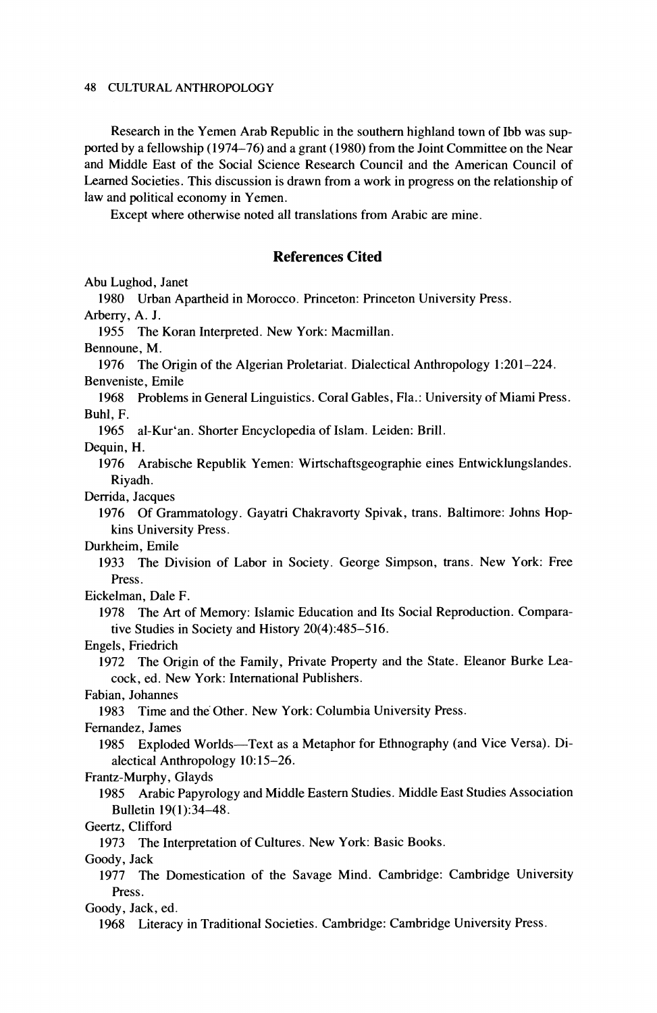**Research in the Yemen Arab Republic in the southern highland town of Ibb was supported by a fellowship (1974-76) and a grant (1980) from the Joint Committee on the Near and Middle East of the Social Science Research Council and the American Council of Learned Societies. This discussion is drawn from a work in progress on the relationship of law and political economy in Yemen.** 

**Except where otherwise noted all translations from Arabic are mine.** 

#### **References Cited**

**Abu Lughod, Janet** 

**1980 Urban Apartheid in Morocco. Princeton: Princeton University Press. Arberry, A. J.** 

**1955 The Koran Interpreted. New York: Macmillan.** 

**Bennoune, M.** 

**1976 The Origin of the Algerian Proletariat. Dialectical Anthropology 1:201-224. Benveniste, Emile** 

**1968 Problems in General Linguistics. Coral Gables, Fla.: University of Miami Press. Buhl, F.** 

**1965 al-Kur'an. Shorter Encyclopedia of Islam. Leiden: Brill.** 

**Dequin, H.** 

**1976 Arabische Republik Yemen: Wirtschaftsgeographie eines Entwicklungslandes. Riyadh.** 

**Derrida, Jacques** 

**1976 Of Grammatology. Gayatri Chakravorty Spivak, trans. Baltimore: Johns Hopkins University Press.** 

**Durkheim, Emile** 

**1933 The Division of Labor in Society. George Simpson, trans. New York: Free Press.** 

**Eickelman, Dale F.** 

**1978 The Art of Memory: Islamic Education and Its Social Reproduction. Comparative Studies in Society and History 20(4):485-516.** 

**Engels, Friedrich** 

**1972 The Origin of the Family, Private Property and the State. Eleanor Burke Leacock, ed. New York: International Publishers.** 

**Fabian, Johannes** 

**1983 Time and the Other. New York: Columbia University Press.** 

**Fernandez, James** 

1985 Exploded Worlds—Text as a Metaphor for Ethnography (and Vice Versa). Di**alectical Anthropology 10:15-26.** 

**Frantz-Murphy, Glayds** 

**1985 Arabic Papyrology and Middle Eastern Studies. Middle East Studies Association Bulletin 19(1):34-48.** 

**Geertz, Clifford** 

**1973 The Interpretation of Cultures. New York: Basic Books.** 

**Goody, Jack** 

**1977 The Domestication of the Savage Mind. Cambridge: Cambridge University Press.** 

**Goody, Jack, ed.** 

**1968 Literacy in Traditional Societies. Cambridge: Cambridge University Press.**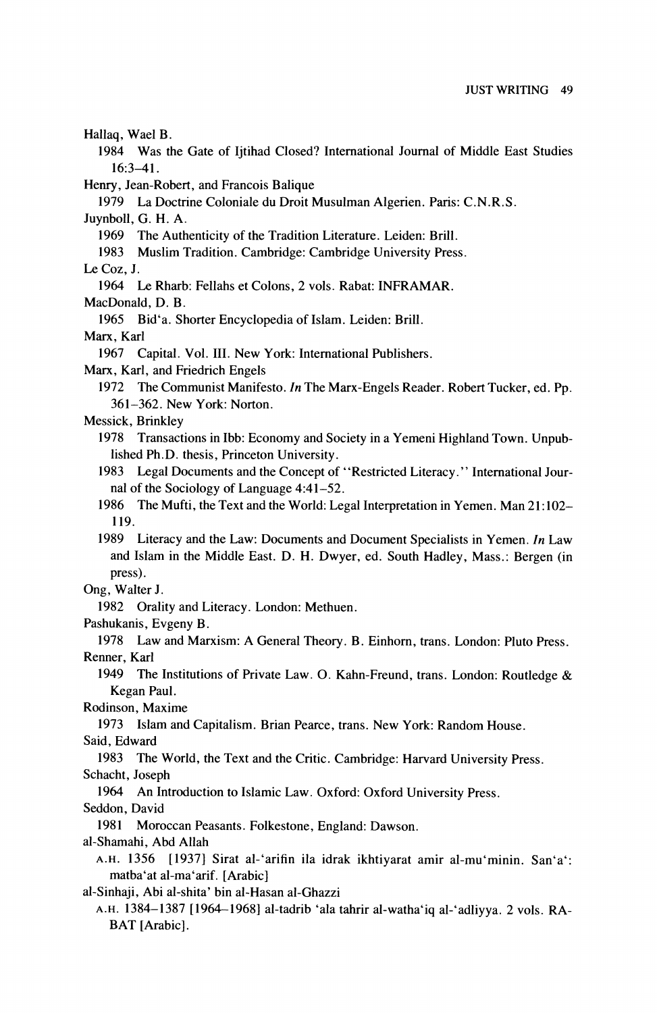**Hallaq, Wael B.** 

**1984 Was the Gate of Ijtihad Closed? International Journal of Middle East Studies 16:3-41.** 

**Henry, Jean-Robert, and Francois Balique** 

**1979 La Doctrine Coloniale du Droit Musulman Algerien. Paris: C.N.R.S.** 

**Juynboll, G. H. A.** 

**1969 The Authenticity of the Tradition Literature. Leiden: Brill.** 

**1983 Muslim Tradition. Cambridge: Cambridge University Press.** 

**Le Coz, J.** 

**1964 Le Rharb: Fellahs et Colons, 2 vols. Rabat: INFRAMAR.** 

**MacDonald, D. B.** 

**1965 Bid'a. Shorter Encyclopedia of Islam. Leiden: Brill.** 

**Marx, Karl** 

**1967 Capital. Vol. III. New York: International Publishers.** 

**Marx, Karl, and Friedrich Engels** 

**1972 The Communist Manifesto. In The Marx-Engels Reader. Robert Tucker, ed. Pp. 361-362. New York: Norton.** 

**Messick, Brinkley** 

**1978 Transactions in Ibb: Economy and Society in a Yemeni Highland Town. Unpublished Ph.D. thesis, Princeton University.** 

**1983 Legal Documents and the Concept of "Restricted Literacy.' International Journal of the Sociology of Language 4:41-52.** 

**1986 The Mufti, the Text and the World: Legal Interpretation in Yemen. Man 21:102- 119.** 

**1989 Literacy and the Law: Documents and Document Specialists in Yemen. In Law and Islam in the Middle East. D. H. Dwyer, ed. South Hadley, Mass.: Bergen (in press).** 

**Ong, Walter J.** 

**1982 Orality and Literacy. London: Methuen.** 

**Pashukanis, Evgeny B.** 

**1978 Law and Marxism: A General Theory. B. Einhorn, trans. London: Pluto Press. Renner, Karl** 

**1949 The Institutions of Private Law. O. Kahn-Freund, trans. London: Routledge & Kegan Paul.** 

**Rodinson, Maxime** 

**1973 Islam and Capitalism. Brian Pearce, trans. New York: Random House. Said, Edward** 

**1983 The World, the Text and the Critic. Cambridge: Harvard University Press. Schacht, Joseph** 

**1964 An Introduction to Islamic Law. Oxford: Oxford University Press.** 

**Seddon, David** 

**1981 Moroccan Peasants. Folkestone, England: Dawson.** 

**al-Shamahi, Abd Allah** 

**A.H. 1356 [1937] Sirat al-'arifin ila idrak ikhtiyarat amir al-mu'minin. San'a': matba'at al-ma'arif. [Arabic]** 

**al-Sinhaji, Abi al-shita' bin al-Hasan al-Ghazzi** 

**A.H. 1384-1387 [1964-1968] al-tadrib 'ala tahrir al-watha'iq al-'adliyya. 2 vols. RA-BAT [Arabic].**